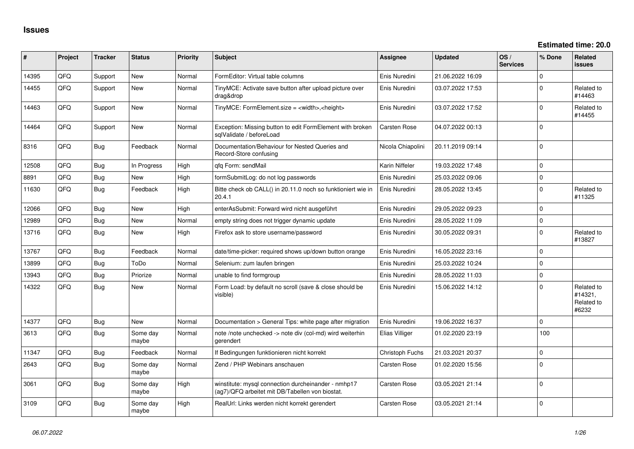| #     | Project | <b>Tracker</b> | <b>Status</b>     | <b>Priority</b> | <b>Subject</b>                                                                                         | <b>Assignee</b>     | <b>Updated</b>   | OS/<br><b>Services</b> | % Done      | Related<br>issues                            |
|-------|---------|----------------|-------------------|-----------------|--------------------------------------------------------------------------------------------------------|---------------------|------------------|------------------------|-------------|----------------------------------------------|
| 14395 | QFQ     | Support        | <b>New</b>        | Normal          | FormEditor: Virtual table columns                                                                      | Enis Nuredini       | 21.06.2022 16:09 |                        | $\Omega$    |                                              |
| 14455 | QFQ     | Support        | <b>New</b>        | Normal          | TinyMCE: Activate save button after upload picture over<br>drag&drop                                   | Enis Nuredini       | 03.07.2022 17:53 |                        | $\Omega$    | Related to<br>#14463                         |
| 14463 | QFQ     | Support        | <b>New</b>        | Normal          | TinyMCE: FormElement.size = <width>,<height></height></width>                                          | Enis Nuredini       | 03.07.2022 17:52 |                        | $\Omega$    | Related to<br>#14455                         |
| 14464 | QFQ     | Support        | New               | Normal          | Exception: Missing button to edit FormElement with broken<br>sqlValidate / beforeLoad                  | <b>Carsten Rose</b> | 04.07.2022 00:13 |                        | $\Omega$    |                                              |
| 8316  | QFQ     | <b>Bug</b>     | Feedback          | Normal          | Documentation/Behaviour for Nested Queries and<br>Record-Store confusing                               | Nicola Chiapolini   | 20.11.2019 09:14 |                        | $\Omega$    |                                              |
| 12508 | OFQ     | <b>Bug</b>     | In Progress       | High            | qfq Form: sendMail                                                                                     | Karin Niffeler      | 19.03.2022 17:48 |                        | $\Omega$    |                                              |
| 8891  | QFQ     | <b>Bug</b>     | <b>New</b>        | High            | formSubmitLog: do not log passwords                                                                    | Enis Nuredini       | 25.03.2022 09:06 |                        | $\Omega$    |                                              |
| 11630 | QFQ     | <b>Bug</b>     | Feedback          | High            | Bitte check ob CALL() in 20.11.0 noch so funktioniert wie in<br>20.4.1                                 | Enis Nuredini       | 28.05.2022 13:45 |                        | $\Omega$    | Related to<br>#11325                         |
| 12066 | QFQ     | <b>Bug</b>     | New               | High            | enterAsSubmit: Forward wird nicht ausgeführt                                                           | Enis Nuredini       | 29.05.2022 09:23 |                        | $\Omega$    |                                              |
| 12989 | QFQ     | Bug            | <b>New</b>        | Normal          | empty string does not trigger dynamic update                                                           | Enis Nuredini       | 28.05.2022 11:09 |                        | $\Omega$    |                                              |
| 13716 | QFQ     | Bug            | <b>New</b>        | High            | Firefox ask to store username/password                                                                 | Enis Nuredini       | 30.05.2022 09:31 |                        | $\Omega$    | Related to<br>#13827                         |
| 13767 | QFQ     | Bug            | Feedback          | Normal          | date/time-picker: required shows up/down button orange                                                 | Enis Nuredini       | 16.05.2022 23:16 |                        | $\Omega$    |                                              |
| 13899 | QFQ     | <b>Bug</b>     | ToDo              | Normal          | Selenium: zum laufen bringen                                                                           | Enis Nuredini       | 25.03.2022 10:24 |                        | $\Omega$    |                                              |
| 13943 | QFQ     | <b>Bug</b>     | Priorize          | Normal          | unable to find formgroup                                                                               | Enis Nuredini       | 28.05.2022 11:03 |                        | $\mathbf 0$ |                                              |
| 14322 | QFQ     | <b>Bug</b>     | New               | Normal          | Form Load: by default no scroll (save & close should be<br>visible)                                    | Enis Nuredini       | 15.06.2022 14:12 |                        | $\Omega$    | Related to<br>#14321,<br>Related to<br>#6232 |
| 14377 | QFQ     | <b>Bug</b>     | <b>New</b>        | Normal          | Documentation > General Tips: white page after migration                                               | Enis Nuredini       | 19.06.2022 16:37 |                        | $\Omega$    |                                              |
| 3613  | QFQ     | Bug            | Some day<br>maybe | Normal          | note /note unchecked -> note div (col-md) wird weiterhin<br>gerendert                                  | Elias Villiger      | 01.02.2020 23:19 |                        | 100         |                                              |
| 11347 | QFQ     | <b>Bug</b>     | Feedback          | Normal          | If Bedingungen funktionieren nicht korrekt                                                             | Christoph Fuchs     | 21.03.2021 20:37 |                        | $\Omega$    |                                              |
| 2643  | QFQ     | <b>Bug</b>     | Some day<br>maybe | Normal          | Zend / PHP Webinars anschauen                                                                          | <b>Carsten Rose</b> | 01.02.2020 15:56 |                        | $\Omega$    |                                              |
| 3061  | QFQ     | <b>Bug</b>     | Some day<br>maybe | High            | winstitute: mysql connection durcheinander - nmhp17<br>(ag7)/QFQ arbeitet mit DB/Tabellen von biostat. | <b>Carsten Rose</b> | 03.05.2021 21:14 |                        | $\Omega$    |                                              |
| 3109  | QFQ     | <b>Bug</b>     | Some day<br>maybe | High            | RealUrl: Links werden nicht korrekt gerendert                                                          | Carsten Rose        | 03.05.2021 21:14 |                        | $\Omega$    |                                              |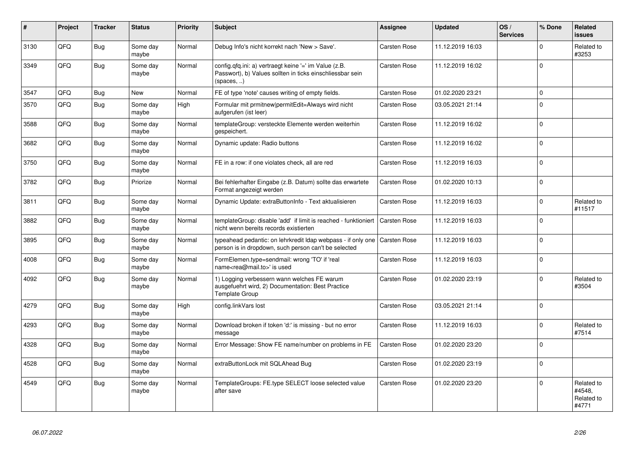| #    | Project | <b>Tracker</b> | <b>Status</b>     | <b>Priority</b> | <b>Subject</b>                                                                                                                   | <b>Assignee</b> | <b>Updated</b>   | OS/<br><b>Services</b> | % Done      | Related<br><b>issues</b>                    |
|------|---------|----------------|-------------------|-----------------|----------------------------------------------------------------------------------------------------------------------------------|-----------------|------------------|------------------------|-------------|---------------------------------------------|
| 3130 | QFQ     | Bug            | Some day<br>maybe | Normal          | Debug Info's nicht korrekt nach 'New > Save'.                                                                                    | Carsten Rose    | 11.12.2019 16:03 |                        | $\mathbf 0$ | Related to<br>#3253                         |
| 3349 | QFQ     | <b>Bug</b>     | Some day<br>maybe | Normal          | config.qfq.ini: a) vertraegt keine '=' im Value (z.B.<br>Passwort), b) Values sollten in ticks einschliessbar sein<br>(spaces, ) | Carsten Rose    | 11.12.2019 16:02 |                        | $\mathbf 0$ |                                             |
| 3547 | QFQ     | Bug            | New               | Normal          | FE of type 'note' causes writing of empty fields.                                                                                | Carsten Rose    | 01.02.2020 23:21 |                        | $\mathbf 0$ |                                             |
| 3570 | QFQ     | <b>Bug</b>     | Some day<br>maybe | High            | Formular mit prmitnew permitEdit=Always wird nicht<br>aufgerufen (ist leer)                                                      | Carsten Rose    | 03.05.2021 21:14 |                        | $\mathbf 0$ |                                             |
| 3588 | QFQ     | Bug            | Some day<br>maybe | Normal          | templateGroup: versteckte Elemente werden weiterhin<br>gespeichert.                                                              | Carsten Rose    | 11.12.2019 16:02 |                        | $\mathbf 0$ |                                             |
| 3682 | QFQ     | Bug            | Some day<br>maybe | Normal          | Dynamic update: Radio buttons                                                                                                    | Carsten Rose    | 11.12.2019 16:02 |                        | $\pmb{0}$   |                                             |
| 3750 | QFQ     | Bug            | Some day<br>maybe | Normal          | FE in a row: if one violates check, all are red                                                                                  | Carsten Rose    | 11.12.2019 16:03 |                        | $\mathbf 0$ |                                             |
| 3782 | QFQ     | Bug            | Priorize          | Normal          | Bei fehlerhafter Eingabe (z.B. Datum) sollte das erwartete<br>Format angezeigt werden                                            | Carsten Rose    | 01.02.2020 10:13 |                        | $\mathbf 0$ |                                             |
| 3811 | QFQ     | <b>Bug</b>     | Some day<br>maybe | Normal          | Dynamic Update: extraButtonInfo - Text aktualisieren                                                                             | Carsten Rose    | 11.12.2019 16:03 |                        | $\mathbf 0$ | Related to<br>#11517                        |
| 3882 | QFQ     | Bug            | Some day<br>maybe | Normal          | templateGroup: disable 'add' if limit is reached - funktioniert<br>nicht wenn bereits records existierten                        | Carsten Rose    | 11.12.2019 16:03 |                        | $\mathbf 0$ |                                             |
| 3895 | QFQ     | <b>Bug</b>     | Some day<br>maybe | Normal          | typeahead pedantic: on lehrkredit Idap webpass - if only one<br>person is in dropdown, such person can't be selected             | Carsten Rose    | 11.12.2019 16:03 |                        | $\mathbf 0$ |                                             |
| 4008 | QFQ     | Bug            | Some day<br>maybe | Normal          | FormElemen.type=sendmail: wrong 'TO' if 'real<br>name <rea@mail.to>' is used</rea@mail.to>                                       | Carsten Rose    | 11.12.2019 16:03 |                        | $\pmb{0}$   |                                             |
| 4092 | QFQ     | Bug            | Some day<br>maybe | Normal          | 1) Logging verbessern wann welches FE warum<br>ausgefuehrt wird, 2) Documentation: Best Practice<br><b>Template Group</b>        | Carsten Rose    | 01.02.2020 23:19 |                        | $\mathbf 0$ | Related to<br>#3504                         |
| 4279 | QFQ     | <b>Bug</b>     | Some day<br>maybe | High            | config.linkVars lost                                                                                                             | Carsten Rose    | 03.05.2021 21:14 |                        | $\mathbf 0$ |                                             |
| 4293 | QFQ     | Bug            | Some day<br>maybe | Normal          | Download broken if token 'd:' is missing - but no error<br>message                                                               | Carsten Rose    | 11.12.2019 16:03 |                        | $\mathbf 0$ | Related to<br>#7514                         |
| 4328 | QFQ     | <b>Bug</b>     | Some day<br>maybe | Normal          | Error Message: Show FE name/number on problems in FE                                                                             | Carsten Rose    | 01.02.2020 23:20 |                        | $\mathbf 0$ |                                             |
| 4528 | QFQ     | Bug            | Some day<br>maybe | Normal          | extraButtonLock mit SQLAhead Bug                                                                                                 | Carsten Rose    | 01.02.2020 23:19 |                        | $\mathbf 0$ |                                             |
| 4549 | QFQ     | Bug            | Some day<br>maybe | Normal          | TemplateGroups: FE.type SELECT loose selected value<br>after save                                                                | Carsten Rose    | 01.02.2020 23:20 |                        | $\mathbf 0$ | Related to<br>#4548.<br>Related to<br>#4771 |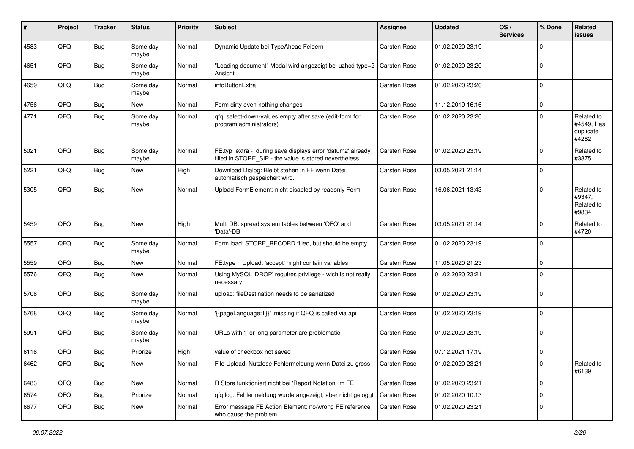| #    | Project | <b>Tracker</b> | <b>Status</b>     | <b>Priority</b> | <b>Subject</b>                                                                                                       | <b>Assignee</b>     | <b>Updated</b>   | OS/<br><b>Services</b> | % Done      | Related<br><b>issues</b>                       |
|------|---------|----------------|-------------------|-----------------|----------------------------------------------------------------------------------------------------------------------|---------------------|------------------|------------------------|-------------|------------------------------------------------|
| 4583 | QFQ     | <b>Bug</b>     | Some day<br>maybe | Normal          | Dynamic Update bei TypeAhead Feldern                                                                                 | Carsten Rose        | 01.02.2020 23:19 |                        | $\mathbf 0$ |                                                |
| 4651 | QFQ     | <b>Bug</b>     | Some day<br>maybe | Normal          | "Loading document" Modal wird angezeigt bei uzhcd type=2<br>Ansicht                                                  | <b>Carsten Rose</b> | 01.02.2020 23:20 |                        | $\mathbf 0$ |                                                |
| 4659 | QFQ     | Bug            | Some day<br>maybe | Normal          | infoButtonExtra                                                                                                      | Carsten Rose        | 01.02.2020 23:20 |                        | $\mathbf 0$ |                                                |
| 4756 | QFQ     | Bug            | <b>New</b>        | Normal          | Form dirty even nothing changes                                                                                      | Carsten Rose        | 11.12.2019 16:16 |                        | $\mathbf 0$ |                                                |
| 4771 | QFQ     | Bug            | Some day<br>maybe | Normal          | gfg: select-down-values empty after save (edit-form for<br>program administrators)                                   | Carsten Rose        | 01.02.2020 23:20 |                        | $\mathbf 0$ | Related to<br>#4549, Has<br>duplicate<br>#4282 |
| 5021 | QFQ     | Bug            | Some day<br>maybe | Normal          | FE.typ=extra - during save displays error 'datum2' already<br>filled in STORE_SIP - the value is stored nevertheless | Carsten Rose        | 01.02.2020 23:19 |                        | $\mathbf 0$ | Related to<br>#3875                            |
| 5221 | QFQ     | Bug            | New               | High            | Download Dialog: Bleibt stehen in FF wenn Datei<br>automatisch gespeichert wird.                                     | Carsten Rose        | 03.05.2021 21:14 |                        | $\mathbf 0$ |                                                |
| 5305 | QFQ     | <b>Bug</b>     | <b>New</b>        | Normal          | Upload FormElement: nicht disabled by readonly Form                                                                  | Carsten Rose        | 16.06.2021 13:43 |                        | $\mathbf 0$ | Related to<br>#9347,<br>Related to<br>#9834    |
| 5459 | QFQ     | <b>Bug</b>     | <b>New</b>        | High            | Multi DB: spread system tables between 'QFQ' and<br>'Data'-DB                                                        | Carsten Rose        | 03.05.2021 21:14 |                        | $\mathbf 0$ | Related to<br>#4720                            |
| 5557 | QFQ     | <b>Bug</b>     | Some day<br>maybe | Normal          | Form load: STORE_RECORD filled, but should be empty                                                                  | Carsten Rose        | 01.02.2020 23:19 |                        | $\mathbf 0$ |                                                |
| 5559 | QFQ     | <b>Bug</b>     | New               | Normal          | FE.type = Upload: 'accept' might contain variables                                                                   | Carsten Rose        | 11.05.2020 21:23 |                        | $\mathbf 0$ |                                                |
| 5576 | QFQ     | <b>Bug</b>     | New               | Normal          | Using MySQL 'DROP' requires privilege - wich is not really<br>necessary.                                             | Carsten Rose        | 01.02.2020 23:21 |                        | $\Omega$    |                                                |
| 5706 | QFQ     | <b>Bug</b>     | Some day<br>maybe | Normal          | upload: fileDestination needs to be sanatized                                                                        | Carsten Rose        | 01.02.2020 23:19 |                        | $\mathbf 0$ |                                                |
| 5768 | QFQ     | <b>Bug</b>     | Some day<br>maybe | Normal          | '{{pageLanguage:T}}' missing if QFQ is called via api                                                                | Carsten Rose        | 01.02.2020 23:19 |                        | $\mathbf 0$ |                                                |
| 5991 | QFQ     | <b>Bug</b>     | Some day<br>maybe | Normal          | URLs with ' ' or long parameter are problematic                                                                      | Carsten Rose        | 01.02.2020 23:19 |                        | $\mathbf 0$ |                                                |
| 6116 | QFQ     | Bug            | Priorize          | High            | value of checkbox not saved                                                                                          | Carsten Rose        | 07.12.2021 17:19 |                        | $\mathbf 0$ |                                                |
| 6462 | QFQ     | <b>Bug</b>     | New               | Normal          | File Upload: Nutzlose Fehlermeldung wenn Datei zu gross                                                              | Carsten Rose        | 01.02.2020 23:21 |                        | $\pmb{0}$   | Related to<br>#6139                            |
| 6483 | QFQ     | <b>Bug</b>     | New               | Normal          | R Store funktioniert nicht bei 'Report Notation' im FE                                                               | Carsten Rose        | 01.02.2020 23:21 |                        | $\mathbf 0$ |                                                |
| 6574 | QFQ     | <b>Bug</b>     | Priorize          | Normal          | qfq.log: Fehlermeldung wurde angezeigt, aber nicht geloggt                                                           | Carsten Rose        | 01.02.2020 10:13 |                        | $\mathbf 0$ |                                                |
| 6677 | QFQ     | <b>Bug</b>     | New               | Normal          | Error message FE Action Element: no/wrong FE reference<br>who cause the problem.                                     | Carsten Rose        | 01.02.2020 23:21 |                        | $\pmb{0}$   |                                                |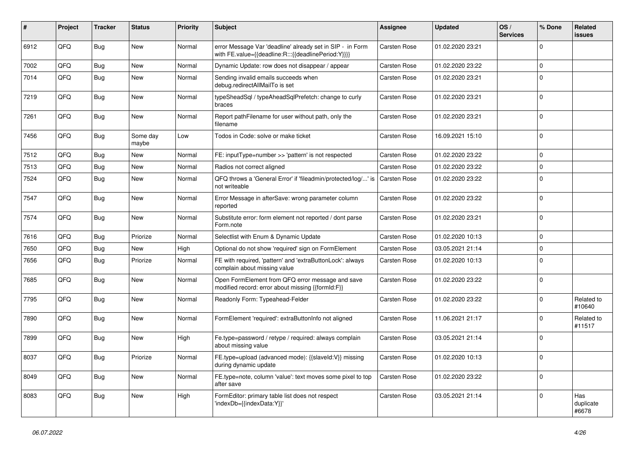| #    | Project | <b>Tracker</b> | <b>Status</b>     | <b>Priority</b> | <b>Subject</b>                                                                                                   | <b>Assignee</b>     | <b>Updated</b>   | OS/<br><b>Services</b> | % Done       | Related<br><b>issues</b>  |
|------|---------|----------------|-------------------|-----------------|------------------------------------------------------------------------------------------------------------------|---------------------|------------------|------------------------|--------------|---------------------------|
| 6912 | QFQ     | Bug            | <b>New</b>        | Normal          | error Message Var 'deadline' already set in SIP - in Form<br>with FE.value={{deadline:R:::{{deadlinePeriod:Y}}}} | <b>Carsten Rose</b> | 01.02.2020 23:21 |                        | $\mathbf 0$  |                           |
| 7002 | QFQ     | Bug            | <b>New</b>        | Normal          | Dynamic Update: row does not disappear / appear                                                                  | Carsten Rose        | 01.02.2020 23:22 |                        | $\mathbf{0}$ |                           |
| 7014 | QFQ     | Bug            | <b>New</b>        | Normal          | Sending invalid emails succeeds when<br>debug.redirectAllMailTo is set                                           | <b>Carsten Rose</b> | 01.02.2020 23:21 |                        | $\mathbf 0$  |                           |
| 7219 | QFQ     | <b>Bug</b>     | New               | Normal          | typeSheadSql / typeAheadSqlPrefetch: change to curly<br>braces                                                   | <b>Carsten Rose</b> | 01.02.2020 23:21 |                        | $\Omega$     |                           |
| 7261 | QFQ     | Bug            | <b>New</b>        | Normal          | Report pathFilename for user without path, only the<br>filename                                                  | Carsten Rose        | 01.02.2020 23:21 |                        | $\Omega$     |                           |
| 7456 | QFQ     | Bug            | Some day<br>maybe | Low             | Todos in Code: solve or make ticket                                                                              | Carsten Rose        | 16.09.2021 15:10 |                        | $\mathbf 0$  |                           |
| 7512 | QFQ     | Bug            | <b>New</b>        | Normal          | FE: inputType=number >> 'pattern' is not respected                                                               | Carsten Rose        | 01.02.2020 23:22 |                        | $\mathbf{0}$ |                           |
| 7513 | QFQ     | Bug            | <b>New</b>        | Normal          | Radios not correct aligned                                                                                       | Carsten Rose        | 01.02.2020 23:22 |                        | $\mathsf 0$  |                           |
| 7524 | QFQ     | Bug            | <b>New</b>        | Normal          | QFQ throws a 'General Error' if 'fileadmin/protected/log/' is<br>not writeable                                   | <b>Carsten Rose</b> | 01.02.2020 23:22 |                        | $\mathbf{0}$ |                           |
| 7547 | QFQ     | Bug            | <b>New</b>        | Normal          | Error Message in afterSave: wrong parameter column<br>reported                                                   | Carsten Rose        | 01.02.2020 23:22 |                        | $\mathbf{0}$ |                           |
| 7574 | QFQ     | <b>Bug</b>     | <b>New</b>        | Normal          | Substitute error: form element not reported / dont parse<br>Form.note                                            | Carsten Rose        | 01.02.2020 23:21 |                        | $\Omega$     |                           |
| 7616 | QFQ     | <b>Bug</b>     | Priorize          | Normal          | Selectlist with Enum & Dynamic Update                                                                            | <b>Carsten Rose</b> | 01.02.2020 10:13 |                        | $\mathbf 0$  |                           |
| 7650 | QFQ     | <b>Bug</b>     | <b>New</b>        | High            | Optional do not show 'required' sign on FormElement                                                              | <b>Carsten Rose</b> | 03.05.2021 21:14 |                        | $\mathbf 0$  |                           |
| 7656 | QFQ     | Bug            | Priorize          | Normal          | FE with required, 'pattern' and 'extraButtonLock': always<br>complain about missing value                        | Carsten Rose        | 01.02.2020 10:13 |                        | $\mathbf{0}$ |                           |
| 7685 | QFQ     | Bug            | <b>New</b>        | Normal          | Open FormElement from QFQ error message and save<br>modified record: error about missing {{formId:F}}            | Carsten Rose        | 01.02.2020 23:22 |                        | $\Omega$     |                           |
| 7795 | QFQ     | <b>Bug</b>     | <b>New</b>        | Normal          | Readonly Form: Typeahead-Felder                                                                                  | <b>Carsten Rose</b> | 01.02.2020 23:22 |                        | $\mathbf{0}$ | Related to<br>#10640      |
| 7890 | QFQ     | <b>Bug</b>     | <b>New</b>        | Normal          | FormElement 'required': extraButtonInfo not aligned                                                              | <b>Carsten Rose</b> | 11.06.2021 21:17 |                        | $\Omega$     | Related to<br>#11517      |
| 7899 | QFQ     | <b>Bug</b>     | <b>New</b>        | High            | Fe.type=password / retype / required: always complain<br>about missing value                                     | Carsten Rose        | 03.05.2021 21:14 |                        | $\Omega$     |                           |
| 8037 | QFQ     | <b>Bug</b>     | Priorize          | Normal          | FE.type=upload (advanced mode): {{slaveld:V}} missing<br>during dynamic update                                   | <b>Carsten Rose</b> | 01.02.2020 10:13 |                        | $\mathbf 0$  |                           |
| 8049 | QFQ     | Bug            | <b>New</b>        | Normal          | FE.type=note, column 'value': text moves some pixel to top<br>after save                                         | <b>Carsten Rose</b> | 01.02.2020 23:22 |                        | $\mathbf 0$  |                           |
| 8083 | QFQ     | Bug            | <b>New</b>        | High            | FormEditor: primary table list does not respect<br>'indexDb={{indexData:Y}}'                                     | Carsten Rose        | 03.05.2021 21:14 |                        | $\Omega$     | Has<br>duplicate<br>#6678 |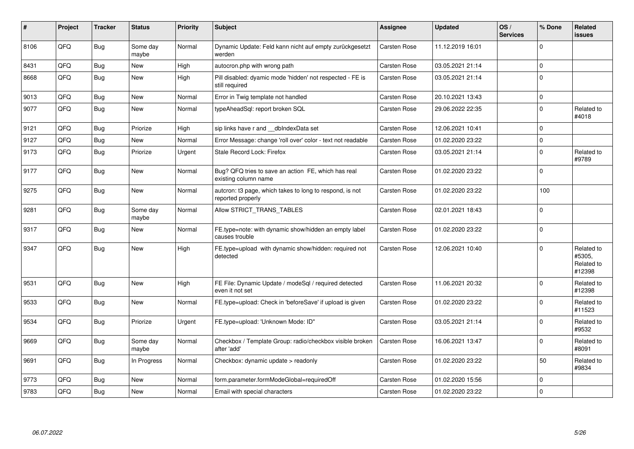| #    | Project | <b>Tracker</b> | <b>Status</b>     | <b>Priority</b> | <b>Subject</b>                                                                | <b>Assignee</b>     | <b>Updated</b>   | OS/<br><b>Services</b> | % Done       | Related<br><b>issues</b>                     |
|------|---------|----------------|-------------------|-----------------|-------------------------------------------------------------------------------|---------------------|------------------|------------------------|--------------|----------------------------------------------|
| 8106 | QFQ     | Bug            | Some day<br>maybe | Normal          | Dynamic Update: Feld kann nicht auf empty zurückgesetzt<br>werden             | Carsten Rose        | 11.12.2019 16:01 |                        | $\Omega$     |                                              |
| 8431 | QFQ     | Bug            | New               | High            | autocron.php with wrong path                                                  | Carsten Rose        | 03.05.2021 21:14 |                        | $\mathbf 0$  |                                              |
| 8668 | QFQ     | Bug            | New               | High            | Pill disabled: dyamic mode 'hidden' not respected - FE is<br>still required   | Carsten Rose        | 03.05.2021 21:14 |                        | $\mathbf 0$  |                                              |
| 9013 | QFQ     | <b>Bug</b>     | <b>New</b>        | Normal          | Error in Twig template not handled                                            | Carsten Rose        | 20.10.2021 13:43 |                        | $\mathbf 0$  |                                              |
| 9077 | QFQ     | <b>Bug</b>     | <b>New</b>        | Normal          | typeAheadSql: report broken SQL                                               | Carsten Rose        | 29.06.2022 22:35 |                        | $\mathbf 0$  | Related to<br>#4018                          |
| 9121 | QFQ     | Bug            | Priorize          | High            | sip links have r and dblndexData set                                          | Carsten Rose        | 12.06.2021 10:41 |                        | $\mathbf 0$  |                                              |
| 9127 | QFQ     | Bug            | <b>New</b>        | Normal          | Error Message: change 'roll over' color - text not readable                   | <b>Carsten Rose</b> | 01.02.2020 23:22 |                        | $\mathbf 0$  |                                              |
| 9173 | QFQ     | <b>Bug</b>     | Priorize          | Urgent          | Stale Record Lock: Firefox                                                    | Carsten Rose        | 03.05.2021 21:14 |                        | $\mathbf 0$  | Related to<br>#9789                          |
| 9177 | QFQ     | <b>Bug</b>     | <b>New</b>        | Normal          | Bug? QFQ tries to save an action FE, which has real<br>existing column name   | Carsten Rose        | 01.02.2020 23:22 |                        | $\mathbf 0$  |                                              |
| 9275 | QFQ     | Bug            | <b>New</b>        | Normal          | autcron: t3 page, which takes to long to respond, is not<br>reported properly | Carsten Rose        | 01.02.2020 23:22 |                        | 100          |                                              |
| 9281 | QFQ     | Bug            | Some day<br>maybe | Normal          | Allow STRICT_TRANS_TABLES                                                     | Carsten Rose        | 02.01.2021 18:43 |                        | $\pmb{0}$    |                                              |
| 9317 | QFQ     | Bug            | New               | Normal          | FE.type=note: with dynamic show/hidden an empty label<br>causes trouble       | Carsten Rose        | 01.02.2020 23:22 |                        | $\mathbf 0$  |                                              |
| 9347 | QFQ     | <b>Bug</b>     | New               | High            | FE.type=upload with dynamic show/hidden: required not<br>detected             | Carsten Rose        | 12.06.2021 10:40 |                        | $\mathbf{0}$ | Related to<br>#5305.<br>Related to<br>#12398 |
| 9531 | QFQ     | Bug            | <b>New</b>        | High            | FE File: Dynamic Update / modeSql / required detected<br>even it not set      | Carsten Rose        | 11.06.2021 20:32 |                        | $\mathbf 0$  | Related to<br>#12398                         |
| 9533 | QFQ     | <b>Bug</b>     | <b>New</b>        | Normal          | FE.type=upload: Check in 'beforeSave' if upload is given                      | Carsten Rose        | 01.02.2020 23:22 |                        | $\mathbf 0$  | Related to<br>#11523                         |
| 9534 | QFQ     | Bug            | Priorize          | Urgent          | FE.type=upload: 'Unknown Mode: ID"                                            | Carsten Rose        | 03.05.2021 21:14 |                        | $\mathbf 0$  | Related to<br>#9532                          |
| 9669 | QFQ     | <b>Bug</b>     | Some day<br>maybe | Normal          | Checkbox / Template Group: radio/checkbox visible broken<br>after 'add'       | Carsten Rose        | 16.06.2021 13:47 |                        | $\pmb{0}$    | Related to<br>#8091                          |
| 9691 | QFQ     | Bug            | In Progress       | Normal          | Checkbox: dynamic update > readonly                                           | Carsten Rose        | 01.02.2020 23:22 |                        | 50           | Related to<br>#9834                          |
| 9773 | QFQ     | <b>Bug</b>     | <b>New</b>        | Normal          | form.parameter.formModeGlobal=requiredOff                                     | Carsten Rose        | 01.02.2020 15:56 |                        | $\mathbf 0$  |                                              |
| 9783 | QFQ     | Bug            | New               | Normal          | Email with special characters                                                 | Carsten Rose        | 01.02.2020 23:22 |                        | $\pmb{0}$    |                                              |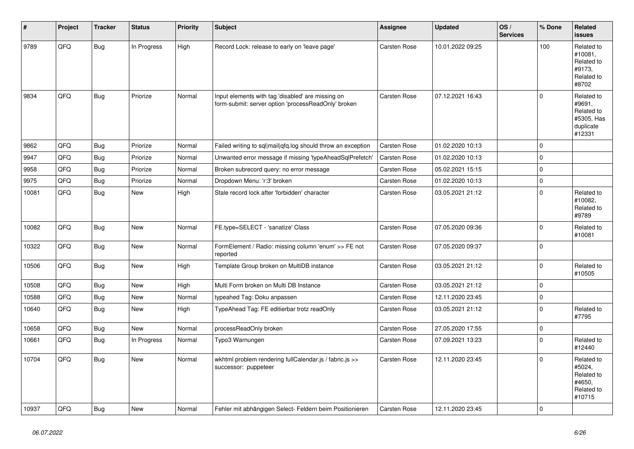| #     | Project | <b>Tracker</b> | <b>Status</b> | <b>Priority</b> | <b>Subject</b>                                                                                           | Assignee            | <b>Updated</b>   | OS/<br><b>Services</b> | % Done      | Related<br><b>issues</b>                                                |
|-------|---------|----------------|---------------|-----------------|----------------------------------------------------------------------------------------------------------|---------------------|------------------|------------------------|-------------|-------------------------------------------------------------------------|
| 9789  | QFQ     | <b>Bug</b>     | In Progress   | High            | Record Lock: release to early on 'leave page'                                                            | <b>Carsten Rose</b> | 10.01.2022 09:25 |                        | 100         | Related to<br>#10081,<br>Related to<br>#9173,<br>Related to<br>#8702    |
| 9834  | QFQ     | <b>Bug</b>     | Priorize      | Normal          | Input elements with tag 'disabled' are missing on<br>form-submit: server option 'processReadOnly' broken | <b>Carsten Rose</b> | 07.12.2021 16:43 |                        | $\Omega$    | Related to<br>#9691,<br>Related to<br>#5305, Has<br>duplicate<br>#12331 |
| 9862  | QFQ     | <b>Bug</b>     | Priorize      | Normal          | Failed writing to sql mail qfq.log should throw an exception                                             | Carsten Rose        | 01.02.2020 10:13 |                        | $\Omega$    |                                                                         |
| 9947  | QFQ     | Bug            | Priorize      | Normal          | Unwanted error message if missing 'typeAheadSqlPrefetch'                                                 | Carsten Rose        | 01.02.2020 10:13 |                        | $\mathbf 0$ |                                                                         |
| 9958  | QFQ     | Bug            | Priorize      | Normal          | Broken subrecord query: no error message                                                                 | <b>Carsten Rose</b> | 05.02.2021 15:15 |                        | $\mathbf 0$ |                                                                         |
| 9975  | QFQ     | <b>Bug</b>     | Priorize      | Normal          | Dropdown Menu: 'r:3' broken                                                                              | <b>Carsten Rose</b> | 01.02.2020 10:13 |                        | $\pmb{0}$   |                                                                         |
| 10081 | QFQ     | <b>Bug</b>     | New           | High            | Stale record lock after 'forbidden' character                                                            | Carsten Rose        | 03.05.2021 21:12 |                        | $\Omega$    | Related to<br>#10082,<br>Related to<br>#9789                            |
| 10082 | QFQ     | <b>Bug</b>     | <b>New</b>    | Normal          | FE.type=SELECT - 'sanatize' Class                                                                        | Carsten Rose        | 07.05.2020 09:36 |                        | 0           | Related to<br>#10081                                                    |
| 10322 | QFQ     | Bug            | New           | Normal          | FormElement / Radio: missing column 'enum' >> FE not<br>reported                                         | Carsten Rose        | 07.05.2020 09:37 |                        | $\Omega$    |                                                                         |
| 10506 | QFQ     | <b>Bug</b>     | New           | High            | Template Group broken on MultiDB instance                                                                | Carsten Rose        | 03.05.2021 21:12 |                        | $\mathbf 0$ | Related to<br>#10505                                                    |
| 10508 | QFQ     | <b>Bug</b>     | New           | High            | Multi Form broken on Multi DB Instance                                                                   | <b>Carsten Rose</b> | 03.05.2021 21:12 |                        | $\pmb{0}$   |                                                                         |
| 10588 | QFQ     | <b>Bug</b>     | <b>New</b>    | Normal          | typeahed Tag: Doku anpassen                                                                              | Carsten Rose        | 12.11.2020 23:45 |                        | $\pmb{0}$   |                                                                         |
| 10640 | QFQ     | <b>Bug</b>     | <b>New</b>    | High            | TypeAhead Tag: FE editierbar trotz readOnly                                                              | Carsten Rose        | 03.05.2021 21:12 |                        | $\Omega$    | Related to<br>#7795                                                     |
| 10658 | QFQ     | <b>Bug</b>     | <b>New</b>    | Normal          | processReadOnly broken                                                                                   | <b>Carsten Rose</b> | 27.05.2020 17:55 |                        | $\pmb{0}$   |                                                                         |
| 10661 | QFQ     | <b>Bug</b>     | In Progress   | Normal          | Typo3 Warnungen                                                                                          | Carsten Rose        | 07.09.2021 13:23 |                        | $\Omega$    | Related to<br>#12440                                                    |
| 10704 | QFQ     | Bug            | New           | Normal          | wkhtml problem rendering fullCalendar.js / fabric.js >><br>successor: puppeteer                          | <b>Carsten Rose</b> | 12.11.2020 23:45 |                        | $\Omega$    | Related to<br>#5024,<br>Related to<br>#4650.<br>Related to<br>#10715    |
| 10937 | QFQ     | <b>Bug</b>     | New           | Normal          | Fehler mit abhängigen Select- Feldern beim Positionieren                                                 | <b>Carsten Rose</b> | 12.11.2020 23:45 |                        | $\Omega$    |                                                                         |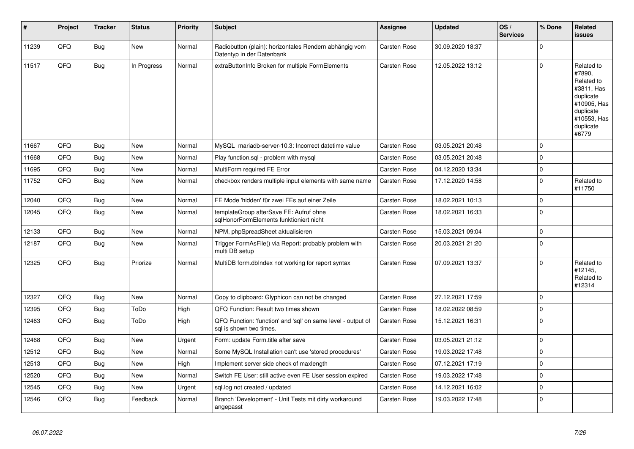| $\sharp$ | Project | <b>Tracker</b> | <b>Status</b> | <b>Priority</b> | <b>Subject</b>                                                                          | Assignee            | <b>Updated</b>   | OS/<br><b>Services</b> | % Done       | Related<br><b>issues</b>                                                                                                       |
|----------|---------|----------------|---------------|-----------------|-----------------------------------------------------------------------------------------|---------------------|------------------|------------------------|--------------|--------------------------------------------------------------------------------------------------------------------------------|
| 11239    | QFQ     | <b>Bug</b>     | <b>New</b>    | Normal          | Radiobutton (plain): horizontales Rendern abhängig vom<br>Datentyp in der Datenbank     | Carsten Rose        | 30.09.2020 18:37 |                        | $\mathbf 0$  |                                                                                                                                |
| 11517    | QFQ     | <b>Bug</b>     | In Progress   | Normal          | extraButtonInfo Broken for multiple FormElements                                        | <b>Carsten Rose</b> | 12.05.2022 13:12 |                        | $\mathbf 0$  | Related to<br>#7890,<br>Related to<br>#3811, Has<br>duplicate<br>#10905, Has<br>duplicate<br>#10553, Has<br>duplicate<br>#6779 |
| 11667    | QFQ     | <b>Bug</b>     | New           | Normal          | MySQL mariadb-server-10.3: Incorrect datetime value                                     | <b>Carsten Rose</b> | 03.05.2021 20:48 |                        | $\mathbf 0$  |                                                                                                                                |
| 11668    | QFQ     | Bug            | New           | Normal          | Play function.sgl - problem with mysgl                                                  | <b>Carsten Rose</b> | 03.05.2021 20:48 |                        | $\mathbf 0$  |                                                                                                                                |
| 11695    | QFQ     | <b>Bug</b>     | New           | Normal          | MultiForm required FE Error                                                             | Carsten Rose        | 04.12.2020 13:34 |                        | $\pmb{0}$    |                                                                                                                                |
| 11752    | QFQ     | <b>Bug</b>     | New           | Normal          | checkbox renders multiple input elements with same name                                 | Carsten Rose        | 17.12.2020 14:58 |                        | $\mathbf{0}$ | Related to<br>#11750                                                                                                           |
| 12040    | QFQ     | <b>Bug</b>     | New           | Normal          | FE Mode 'hidden' für zwei FEs auf einer Zeile                                           | Carsten Rose        | 18.02.2021 10:13 |                        | $\pmb{0}$    |                                                                                                                                |
| 12045    | QFQ     | <b>Bug</b>     | New           | Normal          | templateGroup afterSave FE: Aufruf ohne<br>sqlHonorFormElements funktioniert nicht      | Carsten Rose        | 18.02.2021 16:33 |                        | $\mathbf 0$  |                                                                                                                                |
| 12133    | QFQ     | Bug            | <b>New</b>    | Normal          | NPM, phpSpreadSheet aktualisieren                                                       | <b>Carsten Rose</b> | 15.03.2021 09:04 |                        | $\mathbf 0$  |                                                                                                                                |
| 12187    | QFQ     | <b>Bug</b>     | New           | Normal          | Trigger FormAsFile() via Report: probably problem with<br>multi DB setup                | <b>Carsten Rose</b> | 20.03.2021 21:20 |                        | $\mathbf 0$  |                                                                                                                                |
| 12325    | QFQ     | <b>Bug</b>     | Priorize      | Normal          | MultiDB form.dblndex not working for report syntax                                      | <b>Carsten Rose</b> | 07.09.2021 13:37 |                        | $\Omega$     | Related to<br>#12145,<br>Related to<br>#12314                                                                                  |
| 12327    | QFQ     | Bug            | New           | Normal          | Copy to clipboard: Glyphicon can not be changed                                         | Carsten Rose        | 27.12.2021 17:59 |                        | $\pmb{0}$    |                                                                                                                                |
| 12395    | QFQ     | Bug            | ToDo          | High            | QFQ Function: Result two times shown                                                    | Carsten Rose        | 18.02.2022 08:59 |                        | $\pmb{0}$    |                                                                                                                                |
| 12463    | QFQ     | <b>Bug</b>     | ToDo          | High            | QFQ Function: 'function' and 'sql' on same level - output of<br>sal is shown two times. | Carsten Rose        | 15.12.2021 16:31 |                        | $\mathbf 0$  |                                                                                                                                |
| 12468    | QFQ     | Bug            | <b>New</b>    | Urgent          | Form: update Form.title after save                                                      | Carsten Rose        | 03.05.2021 21:12 |                        | $\pmb{0}$    |                                                                                                                                |
| 12512    | QFQ     | Bug            | New           | Normal          | Some MySQL Installation can't use 'stored procedures'                                   | Carsten Rose        | 19.03.2022 17:48 |                        | $\mathbf 0$  |                                                                                                                                |
| 12513    | QFQ     | Bug            | New           | High            | Implement server side check of maxlength                                                | <b>Carsten Rose</b> | 07.12.2021 17:19 |                        | $\pmb{0}$    |                                                                                                                                |
| 12520    | QFQ     | Bug            | New           | Normal          | Switch FE User: still active even FE User session expired                               | Carsten Rose        | 19.03.2022 17:48 |                        | $\pmb{0}$    |                                                                                                                                |
| 12545    | QFQ     | <b>Bug</b>     | New           | Urgent          | sql.log not created / updated                                                           | <b>Carsten Rose</b> | 14.12.2021 16:02 |                        | $\mathbf 0$  |                                                                                                                                |
| 12546    | QFQ     | Bug            | Feedback      | Normal          | Branch 'Development' - Unit Tests mit dirty workaround<br>angepasst                     | Carsten Rose        | 19.03.2022 17:48 |                        | $\mathbf 0$  |                                                                                                                                |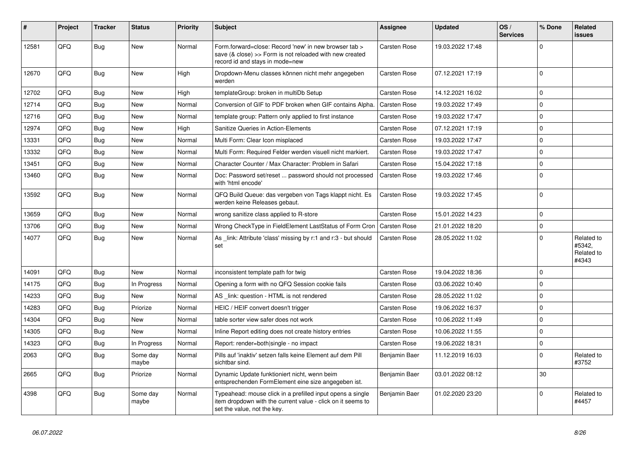| #     | Project | <b>Tracker</b> | <b>Status</b>     | <b>Priority</b> | <b>Subject</b>                                                                                                                                           | Assignee            | <b>Updated</b>   | OS/<br><b>Services</b> | % Done       | Related<br><b>issues</b>                    |
|-------|---------|----------------|-------------------|-----------------|----------------------------------------------------------------------------------------------------------------------------------------------------------|---------------------|------------------|------------------------|--------------|---------------------------------------------|
| 12581 | QFQ     | <b>Bug</b>     | New               | Normal          | Form.forward=close: Record 'new' in new browser tab ><br>save (& close) >> Form is not reloaded with new created<br>record id and stays in mode=new      | <b>Carsten Rose</b> | 19.03.2022 17:48 |                        | $\mathbf 0$  |                                             |
| 12670 | QFQ     | Bug            | <b>New</b>        | High            | Dropdown-Menu classes können nicht mehr angegeben<br>werden                                                                                              | <b>Carsten Rose</b> | 07.12.2021 17:19 |                        | $\mathbf 0$  |                                             |
| 12702 | QFQ     | Bug            | <b>New</b>        | High            | templateGroup: broken in multiDb Setup                                                                                                                   | <b>Carsten Rose</b> | 14.12.2021 16:02 |                        | $\mathbf 0$  |                                             |
| 12714 | QFQ     | Bug            | <b>New</b>        | Normal          | Conversion of GIF to PDF broken when GIF contains Alpha.                                                                                                 | <b>Carsten Rose</b> | 19.03.2022 17:49 |                        | $\Omega$     |                                             |
| 12716 | QFQ     | <b>Bug</b>     | <b>New</b>        | Normal          | template group: Pattern only applied to first instance                                                                                                   | Carsten Rose        | 19.03.2022 17:47 |                        | $\pmb{0}$    |                                             |
| 12974 | QFQ     | <b>Bug</b>     | New               | High            | Sanitize Queries in Action-Elements                                                                                                                      | <b>Carsten Rose</b> | 07.12.2021 17:19 |                        | $\mathbf 0$  |                                             |
| 13331 | QFQ     | Bug            | <b>New</b>        | Normal          | Multi Form: Clear Icon misplaced                                                                                                                         | Carsten Rose        | 19.03.2022 17:47 |                        | $\mathsf 0$  |                                             |
| 13332 | QFQ     | <b>Bug</b>     | <b>New</b>        | Normal          | Multi Form: Required Felder werden visuell nicht markiert.                                                                                               | <b>Carsten Rose</b> | 19.03.2022 17:47 |                        | $\mathbf 0$  |                                             |
| 13451 | QFQ     | Bug            | <b>New</b>        | Normal          | Character Counter / Max Character: Problem in Safari                                                                                                     | Carsten Rose        | 15.04.2022 17:18 |                        | $\mathbf{0}$ |                                             |
| 13460 | QFQ     | Bug            | <b>New</b>        | Normal          | Doc: Password set/reset  password should not processed<br>with 'html encode'                                                                             | Carsten Rose        | 19.03.2022 17:46 |                        | $\mathbf{0}$ |                                             |
| 13592 | QFQ     | <b>Bug</b>     | <b>New</b>        | Normal          | QFQ Build Queue: das vergeben von Tags klappt nicht. Es<br>werden keine Releases gebaut.                                                                 | Carsten Rose        | 19.03.2022 17:45 |                        | $\Omega$     |                                             |
| 13659 | QFQ     | Bug            | <b>New</b>        | Normal          | wrong sanitize class applied to R-store                                                                                                                  | <b>Carsten Rose</b> | 15.01.2022 14:23 |                        | $\mathbf 0$  |                                             |
| 13706 | QFQ     | Bug            | <b>New</b>        | Normal          | Wrong CheckType in FieldElement LastStatus of Form Cron                                                                                                  | <b>Carsten Rose</b> | 21.01.2022 18:20 |                        | $\pmb{0}$    |                                             |
| 14077 | QFQ     | Bug            | <b>New</b>        | Normal          | As link: Attribute 'class' missing by r:1 and r:3 - but should<br>set                                                                                    | <b>Carsten Rose</b> | 28.05.2022 11:02 |                        | $\mathbf 0$  | Related to<br>#5342,<br>Related to<br>#4343 |
| 14091 | QFQ     | Bug            | <b>New</b>        | Normal          | inconsistent template path for twig                                                                                                                      | Carsten Rose        | 19.04.2022 18:36 |                        | $\mathbf 0$  |                                             |
| 14175 | QFQ     | Bug            | In Progress       | Normal          | Opening a form with no QFQ Session cookie fails                                                                                                          | <b>Carsten Rose</b> | 03.06.2022 10:40 |                        | $\mathbf 0$  |                                             |
| 14233 | QFQ     | <b>Bug</b>     | New               | Normal          | AS _link: question - HTML is not rendered                                                                                                                | <b>Carsten Rose</b> | 28.05.2022 11:02 |                        | $\mathbf 0$  |                                             |
| 14283 | QFQ     | Bug            | Priorize          | Normal          | HEIC / HEIF convert doesn't trigger                                                                                                                      | Carsten Rose        | 19.06.2022 16:37 |                        | $\Omega$     |                                             |
| 14304 | QFQ     | <b>Bug</b>     | <b>New</b>        | Normal          | table sorter view safer does not work                                                                                                                    | <b>Carsten Rose</b> | 10.06.2022 11:49 |                        | $\mathbf{0}$ |                                             |
| 14305 | QFQ     | <b>Bug</b>     | <b>New</b>        | Normal          | Inline Report editing does not create history entries                                                                                                    | <b>Carsten Rose</b> | 10.06.2022 11:55 |                        | $\mathbf 0$  |                                             |
| 14323 | QFQ     | Bug            | In Progress       | Normal          | Report: render=both single - no impact                                                                                                                   | <b>Carsten Rose</b> | 19.06.2022 18:31 |                        | $\mathbf{0}$ |                                             |
| 2063  | QFQ     | Bug            | Some day<br>maybe | Normal          | Pills auf 'inaktiv' setzen falls keine Element auf dem Pill<br>sichtbar sind.                                                                            | Benjamin Baer       | 11.12.2019 16:03 |                        | $\mathbf 0$  | Related to<br>#3752                         |
| 2665  | QFQ     | <b>Bug</b>     | Priorize          | Normal          | Dynamic Update funktioniert nicht, wenn beim<br>entsprechenden FormElement eine size angegeben ist.                                                      | Benjamin Baer       | 03.01.2022 08:12 |                        | 30           |                                             |
| 4398  | QFQ     | <b>Bug</b>     | Some day<br>maybe | Normal          | Typeahead: mouse click in a prefilled input opens a single<br>item dropdown with the current value - click on it seems to<br>set the value, not the key. | Benjamin Baer       | 01.02.2020 23:20 |                        | $\Omega$     | Related to<br>#4457                         |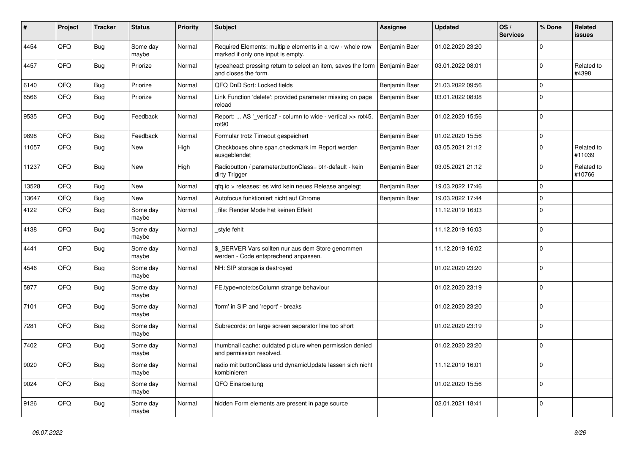| #     | Project | <b>Tracker</b> | <b>Status</b>     | <b>Priority</b> | <b>Subject</b>                                                                                  | <b>Assignee</b> | <b>Updated</b>   | OS/<br><b>Services</b> | % Done      | Related<br><b>issues</b> |
|-------|---------|----------------|-------------------|-----------------|-------------------------------------------------------------------------------------------------|-----------------|------------------|------------------------|-------------|--------------------------|
| 4454  | QFQ     | Bug            | Some day<br>maybe | Normal          | Required Elements: multiple elements in a row - whole row<br>marked if only one input is empty. | Benjamin Baer   | 01.02.2020 23:20 |                        | $\Omega$    |                          |
| 4457  | QFQ     | <b>Bug</b>     | Priorize          | Normal          | typeahead: pressing return to select an item, saves the form<br>and closes the form.            | Benjamin Baer   | 03.01.2022 08:01 |                        | $\mathbf 0$ | Related to<br>#4398      |
| 6140  | QFQ     | <b>Bug</b>     | Priorize          | Normal          | QFQ DnD Sort: Locked fields                                                                     | Benjamin Baer   | 21.03.2022 09:56 |                        | $\Omega$    |                          |
| 6566  | QFQ     | <b>Bug</b>     | Priorize          | Normal          | Link Function 'delete': provided parameter missing on page<br>reload                            | Benjamin Baer   | 03.01.2022 08:08 |                        | $\mathbf 0$ |                          |
| 9535  | QFQ     | <b>Bug</b>     | Feedback          | Normal          | Report:  AS '_vertical' - column to wide - vertical >> rot45,<br>rot <sub>90</sub>              | Benjamin Baer   | 01.02.2020 15:56 |                        | $\Omega$    |                          |
| 9898  | QFQ     | <b>Bug</b>     | Feedback          | Normal          | Formular trotz Timeout gespeichert                                                              | Benjamin Baer   | 01.02.2020 15:56 |                        | $\mathbf 0$ |                          |
| 11057 | QFQ     | Bug            | New               | High            | Checkboxes ohne span.checkmark im Report werden<br>ausgeblendet                                 | Benjamin Baer   | 03.05.2021 21:12 |                        | $\Omega$    | Related to<br>#11039     |
| 11237 | QFQ     | <b>Bug</b>     | New               | High            | Radiobutton / parameter.buttonClass= btn-default - kein<br>dirty Trigger                        | Benjamin Baer   | 03.05.2021 21:12 |                        | $\mathbf 0$ | Related to<br>#10766     |
| 13528 | QFQ     | <b>Bug</b>     | <b>New</b>        | Normal          | qfq.io > releases: es wird kein neues Release angelegt                                          | Benjamin Baer   | 19.03.2022 17:46 |                        | $\mathbf 0$ |                          |
| 13647 | QFQ     | <b>Bug</b>     | New               | Normal          | Autofocus funktioniert nicht auf Chrome                                                         | Benjamin Baer   | 19.03.2022 17:44 |                        | $\Omega$    |                          |
| 4122  | QFQ     | <b>Bug</b>     | Some day<br>maybe | Normal          | file: Render Mode hat keinen Effekt                                                             |                 | 11.12.2019 16:03 |                        | $\mathbf 0$ |                          |
| 4138  | QFQ     | <b>Bug</b>     | Some day<br>maybe | Normal          | style fehlt                                                                                     |                 | 11.12.2019 16:03 |                        | $\Omega$    |                          |
| 4441  | QFQ     | Bug            | Some day<br>maybe | Normal          | \$_SERVER Vars sollten nur aus dem Store genommen<br>werden - Code entsprechend anpassen.       |                 | 11.12.2019 16:02 |                        | $\mathbf 0$ |                          |
| 4546  | QFQ     | <b>Bug</b>     | Some day<br>maybe | Normal          | NH: SIP storage is destroyed                                                                    |                 | 01.02.2020 23:20 |                        | $\mathbf 0$ |                          |
| 5877  | QFQ     | <b>Bug</b>     | Some day<br>maybe | Normal          | FE.type=note:bsColumn strange behaviour                                                         |                 | 01.02.2020 23:19 |                        | $\mathbf 0$ |                          |
| 7101  | QFQ     | <b>Bug</b>     | Some day<br>maybe | Normal          | 'form' in SIP and 'report' - breaks                                                             |                 | 01.02.2020 23:20 |                        | $\mathbf 0$ |                          |
| 7281  | QFQ     | <b>Bug</b>     | Some day<br>maybe | Normal          | Subrecords: on large screen separator line too short                                            |                 | 01.02.2020 23:19 |                        | $\mathbf 0$ |                          |
| 7402  | QFQ     | Bug            | Some day<br>maybe | Normal          | thumbnail cache: outdated picture when permission denied<br>and permission resolved.            |                 | 01.02.2020 23:20 |                        | $\mathbf 0$ |                          |
| 9020  | QFQ     | Bug            | Some day<br>maybe | Normal          | radio mit buttonClass und dynamicUpdate lassen sich nicht<br>kombinieren                        |                 | 11.12.2019 16:01 |                        | 0           |                          |
| 9024  | QFQ     | Bug            | Some day<br>maybe | Normal          | QFQ Einarbeitung                                                                                |                 | 01.02.2020 15:56 |                        | $\Omega$    |                          |
| 9126  | QFQ     | <b>Bug</b>     | Some day<br>maybe | Normal          | hidden Form elements are present in page source                                                 |                 | 02.01.2021 18:41 |                        | $\mathbf 0$ |                          |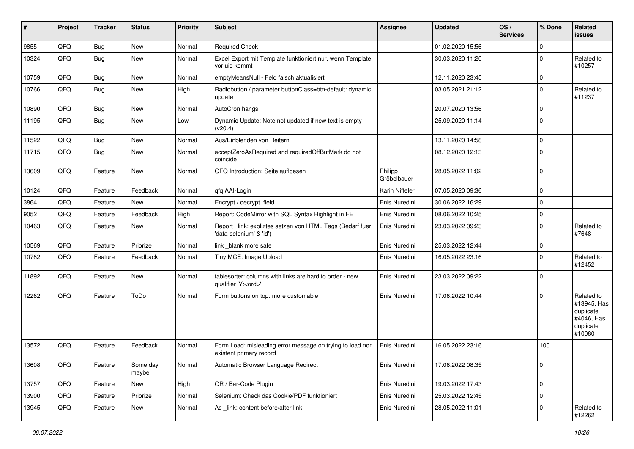| #     | Project | <b>Tracker</b> | <b>Status</b>     | <b>Priority</b> | <b>Subject</b>                                                                        | <b>Assignee</b>        | <b>Updated</b>   | OS/<br><b>Services</b> | % Done      | Related<br><b>issues</b>                                                    |
|-------|---------|----------------|-------------------|-----------------|---------------------------------------------------------------------------------------|------------------------|------------------|------------------------|-------------|-----------------------------------------------------------------------------|
| 9855  | QFQ     | Bug            | New               | Normal          | <b>Required Check</b>                                                                 |                        | 01.02.2020 15:56 |                        | $\mathbf 0$ |                                                                             |
| 10324 | QFQ     | Bug            | <b>New</b>        | Normal          | Excel Export mit Template funktioniert nur, wenn Template<br>vor uid kommt            |                        | 30.03.2020 11:20 |                        | $\mathbf 0$ | Related to<br>#10257                                                        |
| 10759 | QFQ     | Bug            | <b>New</b>        | Normal          | emptyMeansNull - Feld falsch aktualisiert                                             |                        | 12.11.2020 23:45 |                        | $\mathbf 0$ |                                                                             |
| 10766 | QFQ     | Bug            | <b>New</b>        | High            | Radiobutton / parameter.buttonClass=btn-default: dynamic<br>update                    |                        | 03.05.2021 21:12 |                        | $\mathbf 0$ | Related to<br>#11237                                                        |
| 10890 | QFQ     | Bug            | <b>New</b>        | Normal          | AutoCron hangs                                                                        |                        | 20.07.2020 13:56 |                        | $\mathbf 0$ |                                                                             |
| 11195 | QFQ     | <b>Bug</b>     | New               | Low             | Dynamic Update: Note not updated if new text is empty<br>(v20.4)                      |                        | 25.09.2020 11:14 |                        | $\mathbf 0$ |                                                                             |
| 11522 | QFQ     | Bug            | New               | Normal          | Aus/Einblenden von Reitern                                                            |                        | 13.11.2020 14:58 |                        | $\mathbf 0$ |                                                                             |
| 11715 | QFQ     | <b>Bug</b>     | New               | Normal          | acceptZeroAsRequired and requiredOffButMark do not<br>coincide                        |                        | 08.12.2020 12:13 |                        | $\mathbf 0$ |                                                                             |
| 13609 | QFQ     | Feature        | New               | Normal          | QFQ Introduction: Seite aufloesen                                                     | Philipp<br>Gröbelbauer | 28.05.2022 11:02 |                        | $\mathbf 0$ |                                                                             |
| 10124 | QFQ     | Feature        | Feedback          | Normal          | qfq AAI-Login                                                                         | Karin Niffeler         | 07.05.2020 09:36 |                        | $\mathbf 0$ |                                                                             |
| 3864  | QFQ     | Feature        | <b>New</b>        | Normal          | Encrypt / decrypt field                                                               | Enis Nuredini          | 30.06.2022 16:29 |                        | $\mathbf 0$ |                                                                             |
| 9052  | QFQ     | Feature        | Feedback          | High            | Report: CodeMirror with SQL Syntax Highlight in FE                                    | Enis Nuredini          | 08.06.2022 10:25 |                        | $\mathbf 0$ |                                                                             |
| 10463 | QFQ     | Feature        | New               | Normal          | Report _link: expliztes setzen von HTML Tags (Bedarf fuer<br>'data-selenium' & 'id')  | Enis Nuredini          | 23.03.2022 09:23 |                        | $\mathbf 0$ | Related to<br>#7648                                                         |
| 10569 | QFQ     | Feature        | Priorize          | Normal          | link _blank more safe                                                                 | Enis Nuredini          | 25.03.2022 12:44 |                        | $\mathbf 0$ |                                                                             |
| 10782 | QFQ     | Feature        | Feedback          | Normal          | Tiny MCE: Image Upload                                                                | Enis Nuredini          | 16.05.2022 23:16 |                        | $\mathbf 0$ | Related to<br>#12452                                                        |
| 11892 | QFQ     | Feature        | <b>New</b>        | Normal          | tablesorter: columns with links are hard to order - new<br>qualifier 'Y: <ord>'</ord> | Enis Nuredini          | 23.03.2022 09:22 |                        | $\mathbf 0$ |                                                                             |
| 12262 | QFQ     | Feature        | ToDo              | Normal          | Form buttons on top: more customable                                                  | Enis Nuredini          | 17.06.2022 10:44 |                        | $\mathbf 0$ | Related to<br>#13945, Has<br>duplicate<br>#4046, Has<br>duplicate<br>#10080 |
| 13572 | QFQ     | Feature        | Feedback          | Normal          | Form Load: misleading error message on trying to load non<br>existent primary record  | Enis Nuredini          | 16.05.2022 23:16 |                        | 100         |                                                                             |
| 13608 | QFQ     | Feature        | Some day<br>maybe | Normal          | Automatic Browser Language Redirect                                                   | Enis Nuredini          | 17.06.2022 08:35 |                        | $\pmb{0}$   |                                                                             |
| 13757 | QFQ     | Feature        | New               | High            | QR / Bar-Code Plugin                                                                  | Enis Nuredini          | 19.03.2022 17:43 |                        | $\mathbf 0$ |                                                                             |
| 13900 | QFQ     | Feature        | Priorize          | Normal          | Selenium: Check das Cookie/PDF funktioniert                                           | Enis Nuredini          | 25.03.2022 12:45 |                        | $\mathbf 0$ |                                                                             |
| 13945 | QFQ     | Feature        | New               | Normal          | As _link: content before/after link                                                   | Enis Nuredini          | 28.05.2022 11:01 |                        | 0           | Related to<br>#12262                                                        |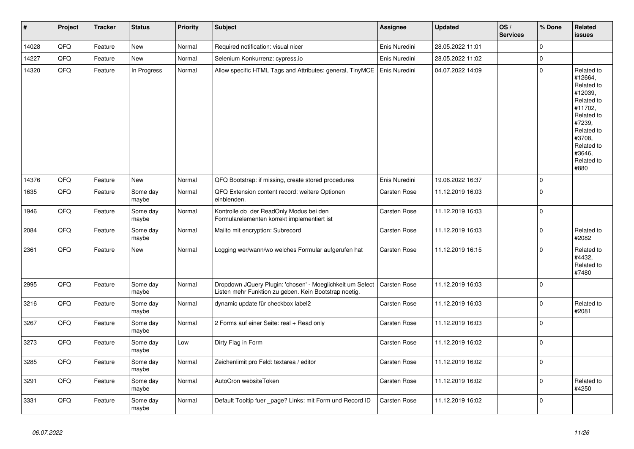| $\vert$ # | Project | <b>Tracker</b> | <b>Status</b>     | <b>Priority</b> | <b>Subject</b>                                                                                                     | <b>Assignee</b> | <b>Updated</b>   | OS/<br><b>Services</b> | % Done      | Related<br><b>issues</b>                                                                                                                                              |
|-----------|---------|----------------|-------------------|-----------------|--------------------------------------------------------------------------------------------------------------------|-----------------|------------------|------------------------|-------------|-----------------------------------------------------------------------------------------------------------------------------------------------------------------------|
| 14028     | QFQ     | Feature        | <b>New</b>        | Normal          | Required notification: visual nicer                                                                                | Enis Nuredini   | 28.05.2022 11:01 |                        | $\mathbf 0$ |                                                                                                                                                                       |
| 14227     | QFQ     | Feature        | New               | Normal          | Selenium Konkurrenz: cypress.io                                                                                    | Enis Nuredini   | 28.05.2022 11:02 |                        | $\Omega$    |                                                                                                                                                                       |
| 14320     | QFQ     | Feature        | In Progress       | Normal          | Allow specific HTML Tags and Attributes: general, TinyMCE                                                          | Enis Nuredini   | 04.07.2022 14:09 |                        | $\Omega$    | Related to<br>#12664,<br>Related to<br>#12039.<br>Related to<br>#11702,<br>Related to<br>#7239,<br>Related to<br>#3708.<br>Related to<br>#3646,<br>Related to<br>#880 |
| 14376     | QFQ     | Feature        | New               | Normal          | QFQ Bootstrap: if missing, create stored procedures                                                                | Enis Nuredini   | 19.06.2022 16:37 |                        | $\Omega$    |                                                                                                                                                                       |
| 1635      | QFQ     | Feature        | Some day<br>maybe | Normal          | QFQ Extension content record: weitere Optionen<br>einblenden.                                                      | Carsten Rose    | 11.12.2019 16:03 |                        | $\mathbf 0$ |                                                                                                                                                                       |
| 1946      | QFQ     | Feature        | Some day<br>maybe | Normal          | Kontrolle ob der ReadOnly Modus bei den<br>Formularelementen korrekt implementiert ist                             | Carsten Rose    | 11.12.2019 16:03 |                        | $\mathbf 0$ |                                                                                                                                                                       |
| 2084      | QFQ     | Feature        | Some day<br>maybe | Normal          | Mailto mit encryption: Subrecord                                                                                   | Carsten Rose    | 11.12.2019 16:03 |                        | $\Omega$    | Related to<br>#2082                                                                                                                                                   |
| 2361      | QFQ     | Feature        | New               | Normal          | Logging wer/wann/wo welches Formular aufgerufen hat                                                                | Carsten Rose    | 11.12.2019 16:15 |                        | $\Omega$    | Related to<br>#4432,<br>Related to<br>#7480                                                                                                                           |
| 2995      | QFQ     | Feature        | Some day<br>maybe | Normal          | Dropdown JQuery Plugin: 'chosen' - Moeglichkeit um Select<br>Listen mehr Funktion zu geben. Kein Bootstrap noetig. | Carsten Rose    | 11.12.2019 16:03 |                        | $\Omega$    |                                                                                                                                                                       |
| 3216      | QFQ     | Feature        | Some day<br>maybe | Normal          | dynamic update für checkbox label2                                                                                 | Carsten Rose    | 11.12.2019 16:03 |                        | $\Omega$    | Related to<br>#2081                                                                                                                                                   |
| 3267      | QFQ     | Feature        | Some day<br>maybe | Normal          | 2 Forms auf einer Seite: real + Read only                                                                          | Carsten Rose    | 11.12.2019 16:03 |                        | $\mathbf 0$ |                                                                                                                                                                       |
| 3273      | QFQ     | Feature        | Some day<br>maybe | Low             | Dirty Flag in Form                                                                                                 | Carsten Rose    | 11.12.2019 16:02 |                        | $\Omega$    |                                                                                                                                                                       |
| 3285      | QFQ     | Feature        | Some day<br>maybe | Normal          | Zeichenlimit pro Feld: textarea / editor                                                                           | Carsten Rose    | 11.12.2019 16:02 |                        | $\mathbf 0$ |                                                                                                                                                                       |
| 3291      | QFQ     | Feature        | Some day<br>maybe | Normal          | AutoCron websiteToken                                                                                              | Carsten Rose    | 11.12.2019 16:02 |                        | 0           | Related to<br>#4250                                                                                                                                                   |
| 3331      | QFQ     | Feature        | Some day<br>maybe | Normal          | Default Tooltip fuer page? Links: mit Form und Record ID                                                           | Carsten Rose    | 11.12.2019 16:02 |                        | $\Omega$    |                                                                                                                                                                       |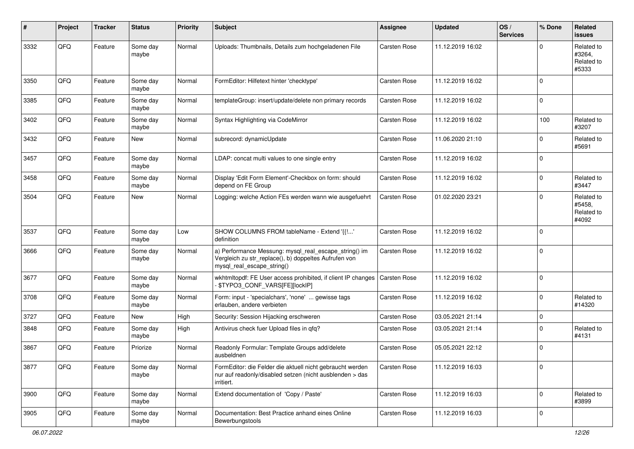| #    | Project | <b>Tracker</b> | <b>Status</b>     | <b>Priority</b> | <b>Subject</b>                                                                                                                               | <b>Assignee</b> | <b>Updated</b>   | OS/<br><b>Services</b> | % Done      | Related<br><b>issues</b>                    |
|------|---------|----------------|-------------------|-----------------|----------------------------------------------------------------------------------------------------------------------------------------------|-----------------|------------------|------------------------|-------------|---------------------------------------------|
| 3332 | QFQ     | Feature        | Some day<br>maybe | Normal          | Uploads: Thumbnails, Details zum hochgeladenen File                                                                                          | Carsten Rose    | 11.12.2019 16:02 |                        | $\Omega$    | Related to<br>#3264.<br>Related to<br>#5333 |
| 3350 | QFQ     | Feature        | Some day<br>maybe | Normal          | FormEditor: Hilfetext hinter 'checktype'                                                                                                     | Carsten Rose    | 11.12.2019 16:02 |                        | $\Omega$    |                                             |
| 3385 | QFQ     | Feature        | Some day<br>maybe | Normal          | templateGroup: insert/update/delete non primary records                                                                                      | Carsten Rose    | 11.12.2019 16:02 |                        | $\mathbf 0$ |                                             |
| 3402 | QFQ     | Feature        | Some dav<br>maybe | Normal          | Syntax Highlighting via CodeMirror                                                                                                           | Carsten Rose    | 11.12.2019 16:02 |                        | 100         | Related to<br>#3207                         |
| 3432 | QFQ     | Feature        | New               | Normal          | subrecord: dynamicUpdate                                                                                                                     | Carsten Rose    | 11.06.2020 21:10 |                        | $\Omega$    | Related to<br>#5691                         |
| 3457 | QFQ     | Feature        | Some day<br>maybe | Normal          | LDAP: concat multi values to one single entry                                                                                                | Carsten Rose    | 11.12.2019 16:02 |                        | $\Omega$    |                                             |
| 3458 | QFQ     | Feature        | Some day<br>maybe | Normal          | Display 'Edit Form Element'-Checkbox on form: should<br>depend on FE Group                                                                   | Carsten Rose    | 11.12.2019 16:02 |                        | $\Omega$    | Related to<br>#3447                         |
| 3504 | QFQ     | Feature        | New               | Normal          | Logging: welche Action FEs werden wann wie ausgefuehrt                                                                                       | Carsten Rose    | 01.02.2020 23:21 |                        | $\mathbf 0$ | Related to<br>#5458,<br>Related to<br>#4092 |
| 3537 | QFQ     | Feature        | Some day<br>maybe | Low             | SHOW COLUMNS FROM tableName - Extend '{{!'<br>definition                                                                                     | Carsten Rose    | 11.12.2019 16:02 |                        | $\mathbf 0$ |                                             |
| 3666 | QFQ     | Feature        | Some day<br>maybe | Normal          | a) Performance Messung: mysql_real_escape_string() im<br>Vergleich zu str_replace(), b) doppeltes Aufrufen von<br>mysql_real_escape_string() | Carsten Rose    | 11.12.2019 16:02 |                        | $\mathbf 0$ |                                             |
| 3677 | QFQ     | Feature        | Some day<br>maybe | Normal          | wkhtmltopdf: FE User access prohibited, if client IP changes<br>- \$TYPO3_CONF_VARS[FE][lockIP]                                              | Carsten Rose    | 11.12.2019 16:02 |                        | $\mathbf 0$ |                                             |
| 3708 | QFQ     | Feature        | Some day<br>maybe | Normal          | Form: input - 'specialchars', 'none'  gewisse tags<br>erlauben, andere verbieten                                                             | Carsten Rose    | 11.12.2019 16:02 |                        | $\mathbf 0$ | Related to<br>#14320                        |
| 3727 | QFQ     | Feature        | New               | High            | Security: Session Hijacking erschweren                                                                                                       | Carsten Rose    | 03.05.2021 21:14 |                        | $\mathbf 0$ |                                             |
| 3848 | QFQ     | Feature        | Some day<br>maybe | High            | Antivirus check fuer Upload files in qfq?                                                                                                    | Carsten Rose    | 03.05.2021 21:14 |                        | $\Omega$    | Related to<br>#4131                         |
| 3867 | QFQ     | Feature        | Priorize          | Normal          | Readonly Formular: Template Groups add/delete<br>ausbeldnen                                                                                  | Carsten Rose    | 05.05.2021 22:12 |                        | $\mathbf 0$ |                                             |
| 3877 | QFO     | Feature        | Some day<br>maybe | Normal          | FormEditor: die Felder die aktuell nicht gebraucht werden<br>nur auf readonly/disabled setzen (nicht ausblenden > das<br>irritiert.          | Carsten Rose    | 11.12.2019 16:03 |                        | $\mathbf 0$ |                                             |
| 3900 | QFQ     | Feature        | Some day<br>maybe | Normal          | Extend documentation of 'Copy / Paste'                                                                                                       | Carsten Rose    | 11.12.2019 16:03 |                        | $\mathbf 0$ | Related to<br>#3899                         |
| 3905 | QFO     | Feature        | Some day<br>maybe | Normal          | Documentation: Best Practice anhand eines Online<br>Bewerbungstools                                                                          | Carsten Rose    | 11.12.2019 16:03 |                        | $\mathbf 0$ |                                             |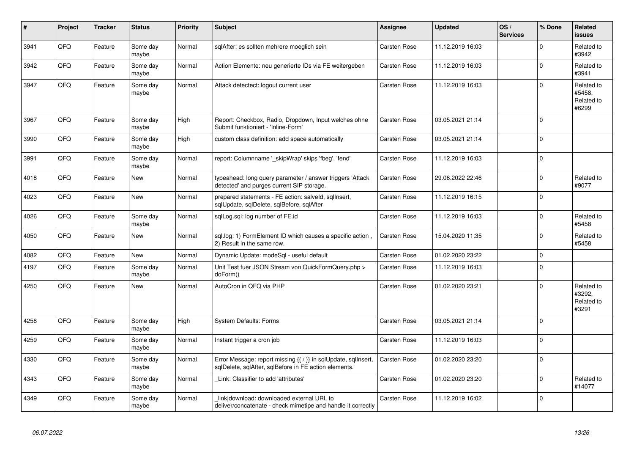| #    | Project | <b>Tracker</b> | <b>Status</b>     | <b>Priority</b> | <b>Subject</b>                                                                                                          | Assignee            | <b>Updated</b>   | OS/<br><b>Services</b> | % Done      | Related<br><b>issues</b>                    |
|------|---------|----------------|-------------------|-----------------|-------------------------------------------------------------------------------------------------------------------------|---------------------|------------------|------------------------|-------------|---------------------------------------------|
| 3941 | QFQ     | Feature        | Some day<br>maybe | Normal          | sqlAfter: es sollten mehrere moeglich sein                                                                              | Carsten Rose        | 11.12.2019 16:03 |                        | $\mathbf 0$ | Related to<br>#3942                         |
| 3942 | QFQ     | Feature        | Some day<br>maybe | Normal          | Action Elemente: neu generierte IDs via FE weitergeben                                                                  | Carsten Rose        | 11.12.2019 16:03 |                        | $\pmb{0}$   | Related to<br>#3941                         |
| 3947 | QFQ     | Feature        | Some day<br>maybe | Normal          | Attack detectect: logout current user                                                                                   | Carsten Rose        | 11.12.2019 16:03 |                        | $\mathbf 0$ | Related to<br>#5458,<br>Related to<br>#6299 |
| 3967 | QFQ     | Feature        | Some day<br>maybe | High            | Report: Checkbox, Radio, Dropdown, Input welches ohne<br>Submit funktioniert - 'Inline-Form'                            | Carsten Rose        | 03.05.2021 21:14 |                        | $\mathbf 0$ |                                             |
| 3990 | QFQ     | Feature        | Some day<br>maybe | High            | custom class definition: add space automatically                                                                        | Carsten Rose        | 03.05.2021 21:14 |                        | $\mathbf 0$ |                                             |
| 3991 | QFQ     | Feature        | Some day<br>maybe | Normal          | report: Columnname '_skipWrap' skips 'fbeg', 'fend'                                                                     | Carsten Rose        | 11.12.2019 16:03 |                        | $\mathbf 0$ |                                             |
| 4018 | QFQ     | Feature        | <b>New</b>        | Normal          | typeahead: long query parameter / answer triggers 'Attack<br>detected' and purges current SIP storage.                  | Carsten Rose        | 29.06.2022 22:46 |                        | $\Omega$    | Related to<br>#9077                         |
| 4023 | QFQ     | Feature        | New               | Normal          | prepared statements - FE action: salveld, sqlInsert,<br>sqlUpdate, sqlDelete, sqlBefore, sqlAfter                       | Carsten Rose        | 11.12.2019 16:15 |                        | $\Omega$    |                                             |
| 4026 | QFQ     | Feature        | Some day<br>maybe | Normal          | sqlLog.sql: log number of FE.id                                                                                         | Carsten Rose        | 11.12.2019 16:03 |                        | $\mathbf 0$ | Related to<br>#5458                         |
| 4050 | QFQ     | Feature        | <b>New</b>        | Normal          | sql.log: 1) FormElement ID which causes a specific action<br>2) Result in the same row.                                 | Carsten Rose        | 15.04.2020 11:35 |                        | $\mathbf 0$ | Related to<br>#5458                         |
| 4082 | QFQ     | Feature        | <b>New</b>        | Normal          | Dynamic Update: modeSql - useful default                                                                                | Carsten Rose        | 01.02.2020 23:22 |                        | $\mathbf 0$ |                                             |
| 4197 | QFQ     | Feature        | Some day<br>maybe | Normal          | Unit Test fuer JSON Stream von QuickFormQuery.php ><br>doForm()                                                         | Carsten Rose        | 11.12.2019 16:03 |                        | $\Omega$    |                                             |
| 4250 | QFQ     | Feature        | New               | Normal          | AutoCron in QFQ via PHP                                                                                                 | Carsten Rose        | 01.02.2020 23:21 |                        | $\Omega$    | Related to<br>#3292,<br>Related to<br>#3291 |
| 4258 | QFQ     | Feature        | Some day<br>maybe | High            | System Defaults: Forms                                                                                                  | <b>Carsten Rose</b> | 03.05.2021 21:14 |                        | $\mathbf 0$ |                                             |
| 4259 | QFQ     | Feature        | Some day<br>maybe | Normal          | Instant trigger a cron job                                                                                              | Carsten Rose        | 11.12.2019 16:03 |                        | $\mathbf 0$ |                                             |
| 4330 | QFQ     | Feature        | Some day<br>maybe | Normal          | Error Message: report missing {{ / }} in sqlUpdate, sqlInsert,<br>sqlDelete, sqlAfter, sqlBefore in FE action elements. | Carsten Rose        | 01.02.2020 23:20 |                        | $\mathbf 0$ |                                             |
| 4343 | QFQ     | Feature        | Some day<br>maybe | Normal          | Link: Classifier to add 'attributes'                                                                                    | Carsten Rose        | 01.02.2020 23:20 |                        | $\mathbf 0$ | Related to<br>#14077                        |
| 4349 | QFQ     | Feature        | Some day<br>maybe | Normal          | link download: downloaded external URL to<br>deliver/concatenate - check mimetipe and handle it correctly               | Carsten Rose        | 11.12.2019 16:02 |                        | $\Omega$    |                                             |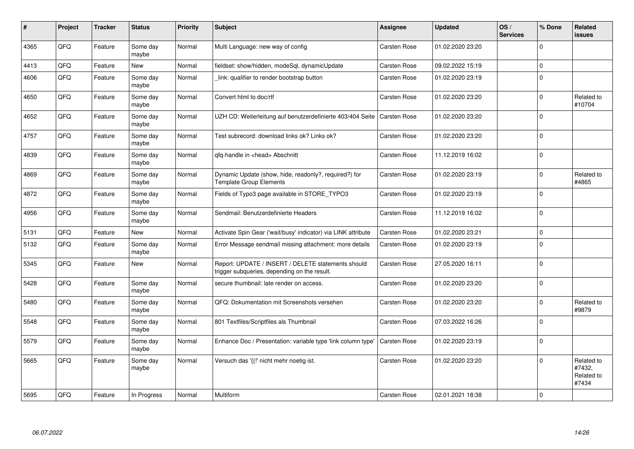| #    | Project | <b>Tracker</b> | <b>Status</b>     | <b>Priority</b> | <b>Subject</b>                                                                                     | <b>Assignee</b>     | <b>Updated</b>   | OS/<br><b>Services</b> | % Done      | Related<br><b>issues</b>                    |
|------|---------|----------------|-------------------|-----------------|----------------------------------------------------------------------------------------------------|---------------------|------------------|------------------------|-------------|---------------------------------------------|
| 4365 | QFQ     | Feature        | Some day<br>maybe | Normal          | Multi Language: new way of config                                                                  | <b>Carsten Rose</b> | 01.02.2020 23:20 |                        | $\Omega$    |                                             |
| 4413 | QFQ     | Feature        | New               | Normal          | fieldset: show/hidden, modeSql, dynamicUpdate                                                      | Carsten Rose        | 09.02.2022 15:19 |                        | $\mathbf 0$ |                                             |
| 4606 | QFQ     | Feature        | Some day<br>maybe | Normal          | link: qualifier to render bootstrap button                                                         | <b>Carsten Rose</b> | 01.02.2020 23:19 |                        | $\Omega$    |                                             |
| 4650 | QFQ     | Feature        | Some day<br>maybe | Normal          | Convert html to doc/rtf                                                                            | Carsten Rose        | 01.02.2020 23:20 |                        | $\mathbf 0$ | Related to<br>#10704                        |
| 4652 | QFQ     | Feature        | Some day<br>maybe | Normal          | UZH CD: Weiterleitung auf benutzerdefinierte 403/404 Seite                                         | Carsten Rose        | 01.02.2020 23:20 |                        | $\mathbf 0$ |                                             |
| 4757 | QFQ     | Feature        | Some day<br>maybe | Normal          | Test subrecord: download links ok? Links ok?                                                       | Carsten Rose        | 01.02.2020 23:20 |                        | $\mathbf 0$ |                                             |
| 4839 | QFQ     | Feature        | Some day<br>maybe | Normal          | qfq-handle in <head> Abschnitt</head>                                                              | Carsten Rose        | 11.12.2019 16:02 |                        | $\mathbf 0$ |                                             |
| 4869 | QFQ     | Feature        | Some day<br>maybe | Normal          | Dynamic Update (show, hide, readonly?, required?) for<br><b>Template Group Elements</b>            | Carsten Rose        | 01.02.2020 23:19 |                        | $\Omega$    | Related to<br>#4865                         |
| 4872 | QFQ     | Feature        | Some day<br>maybe | Normal          | Fields of Typo3 page available in STORE TYPO3                                                      | Carsten Rose        | 01.02.2020 23:19 |                        | $\mathbf 0$ |                                             |
| 4956 | QFQ     | Feature        | Some day<br>maybe | Normal          | Sendmail: Benutzerdefinierte Headers                                                               | Carsten Rose        | 11.12.2019 16:02 |                        | $\mathbf 0$ |                                             |
| 5131 | QFQ     | Feature        | <b>New</b>        | Normal          | Activate Spin Gear ('wait/busy' indicator) via LINK attribute                                      | <b>Carsten Rose</b> | 01.02.2020 23:21 |                        | $\mathbf 0$ |                                             |
| 5132 | QFQ     | Feature        | Some day<br>maybe | Normal          | Error Message sendmail missing attachment: more details                                            | Carsten Rose        | 01.02.2020 23:19 |                        | $\mathbf 0$ |                                             |
| 5345 | QFQ     | Feature        | New               | Normal          | Report: UPDATE / INSERT / DELETE statements should<br>trigger subqueries, depending on the result. | Carsten Rose        | 27.05.2020 16:11 |                        | $\mathbf 0$ |                                             |
| 5428 | QFQ     | Feature        | Some day<br>maybe | Normal          | secure thumbnail: late render on access.                                                           | Carsten Rose        | 01.02.2020 23:20 |                        | $\mathbf 0$ |                                             |
| 5480 | QFQ     | Feature        | Some day<br>maybe | Normal          | QFQ: Dokumentation mit Screenshots versehen                                                        | Carsten Rose        | 01.02.2020 23:20 |                        | $\mathbf 0$ | Related to<br>#9879                         |
| 5548 | QFQ     | Feature        | Some day<br>maybe | Normal          | 801 Textfiles/Scriptfiles als Thumbnail                                                            | Carsten Rose        | 07.03.2022 16:26 |                        | $\mathbf 0$ |                                             |
| 5579 | QFQ     | Feature        | Some day<br>maybe | Normal          | Enhance Doc / Presentation: variable type 'link column type'                                       | Carsten Rose        | 01.02.2020 23:19 |                        | $\Omega$    |                                             |
| 5665 | QFQ     | Feature        | Some day<br>maybe | Normal          | Versuch das '{{!' nicht mehr noetig ist.                                                           | Carsten Rose        | 01.02.2020 23:20 |                        | $\Omega$    | Related to<br>#7432,<br>Related to<br>#7434 |
| 5695 | QFQ     | Feature        | In Progress       | Normal          | Multiform                                                                                          | Carsten Rose        | 02.01.2021 18:38 |                        | $\mathbf 0$ |                                             |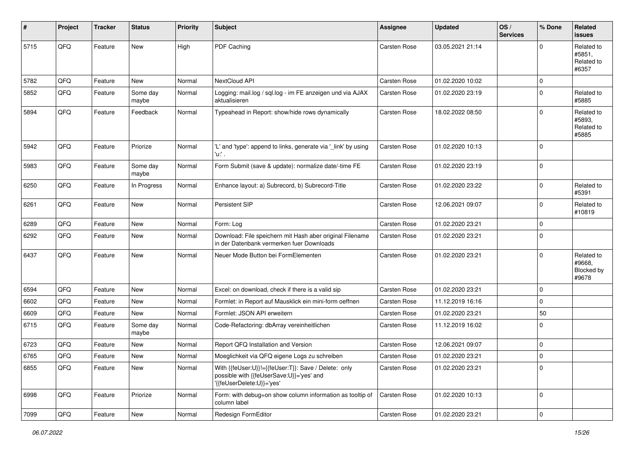| #    | Project | <b>Tracker</b> | <b>Status</b>     | <b>Priority</b> | <b>Subject</b>                                                                                                               | <b>Assignee</b>     | <b>Updated</b>   | OS/<br><b>Services</b> | % Done      | Related<br><b>issues</b>                    |
|------|---------|----------------|-------------------|-----------------|------------------------------------------------------------------------------------------------------------------------------|---------------------|------------------|------------------------|-------------|---------------------------------------------|
| 5715 | QFQ     | Feature        | <b>New</b>        | High            | PDF Caching                                                                                                                  | <b>Carsten Rose</b> | 03.05.2021 21:14 |                        | $\Omega$    | Related to<br>#5851,<br>Related to<br>#6357 |
| 5782 | QFQ     | Feature        | New               | Normal          | NextCloud API                                                                                                                | <b>Carsten Rose</b> | 01.02.2020 10:02 |                        | $\mathbf 0$ |                                             |
| 5852 | QFQ     | Feature        | Some day<br>maybe | Normal          | Logging: mail.log / sql.log - im FE anzeigen und via AJAX<br>aktualisieren                                                   | Carsten Rose        | 01.02.2020 23:19 |                        | $\Omega$    | Related to<br>#5885                         |
| 5894 | QFQ     | Feature        | Feedback          | Normal          | Typeahead in Report: show/hide rows dynamically                                                                              | Carsten Rose        | 18.02.2022 08:50 |                        | $\Omega$    | Related to<br>#5893,<br>Related to<br>#5885 |
| 5942 | QFQ     | Feature        | Priorize          | Normal          | 'L' and 'type': append to links, generate via '_link' by using<br>'u:' .                                                     | <b>Carsten Rose</b> | 01.02.2020 10:13 |                        | $\Omega$    |                                             |
| 5983 | QFQ     | Feature        | Some day<br>maybe | Normal          | Form Submit (save & update): normalize date/-time FE                                                                         | Carsten Rose        | 01.02.2020 23:19 |                        | $\Omega$    |                                             |
| 6250 | QFQ     | Feature        | In Progress       | Normal          | Enhance layout: a) Subrecord, b) Subrecord-Title                                                                             | Carsten Rose        | 01.02.2020 23:22 |                        | $\Omega$    | Related to<br>#5391                         |
| 6261 | QFQ     | Feature        | <b>New</b>        | Normal          | Persistent SIP                                                                                                               | <b>Carsten Rose</b> | 12.06.2021 09:07 |                        | $\Omega$    | Related to<br>#10819                        |
| 6289 | QFQ     | Feature        | <b>New</b>        | Normal          | Form: Log                                                                                                                    | Carsten Rose        | 01.02.2020 23:21 |                        | $\Omega$    |                                             |
| 6292 | QFQ     | Feature        | New               | Normal          | Download: File speichern mit Hash aber original Filename<br>in der Datenbank vermerken fuer Downloads                        | <b>Carsten Rose</b> | 01.02.2020 23:21 |                        | $\Omega$    |                                             |
| 6437 | QFQ     | Feature        | New               | Normal          | Neuer Mode Button bei FormElementen                                                                                          | Carsten Rose        | 01.02.2020 23:21 |                        | $\Omega$    | Related to<br>#9668.<br>Blocked by<br>#9678 |
| 6594 | QFQ     | Feature        | New               | Normal          | Excel: on download, check if there is a valid sip                                                                            | <b>Carsten Rose</b> | 01.02.2020 23:21 |                        | $\Omega$    |                                             |
| 6602 | QFQ     | Feature        | New               | Normal          | Formlet: in Report auf Mausklick ein mini-form oeffnen                                                                       | Carsten Rose        | 11.12.2019 16:16 |                        | $\Omega$    |                                             |
| 6609 | QFQ     | Feature        | New               | Normal          | Formlet: JSON API erweitern                                                                                                  | Carsten Rose        | 01.02.2020 23:21 |                        | 50          |                                             |
| 6715 | QFQ     | Feature        | Some day<br>maybe | Normal          | Code-Refactoring: dbArray vereinheitlichen                                                                                   | Carsten Rose        | 11.12.2019 16:02 |                        | $\Omega$    |                                             |
| 6723 | QFQ     | Feature        | New               | Normal          | Report QFQ Installation and Version                                                                                          | <b>Carsten Rose</b> | 12.06.2021 09:07 |                        | $\mathbf 0$ |                                             |
| 6765 | QFQ     | Feature        | New               | Normal          | Moeglichkeit via QFQ eigene Logs zu schreiben                                                                                | Carsten Rose        | 01.02.2020 23:21 |                        | $\Omega$    |                                             |
| 6855 | QFQ     | Feature        | New               | Normal          | With {{feUser:U}}!={{feUser:T}}: Save / Delete: only<br>possible with {{feUserSave:U}}='yes' and<br>'{feUserDelete:U}}='yes' | Carsten Rose        | 01.02.2020 23:21 |                        | 0           |                                             |
| 6998 | QFQ     | Feature        | Priorize          | Normal          | Form: with debug=on show column information as tooltip of<br>column label                                                    | Carsten Rose        | 01.02.2020 10:13 |                        | $\Omega$    |                                             |
| 7099 | QFG     | Feature        | New               | Normal          | Redesign FormEditor                                                                                                          | Carsten Rose        | 01.02.2020 23:21 |                        | $\pmb{0}$   |                                             |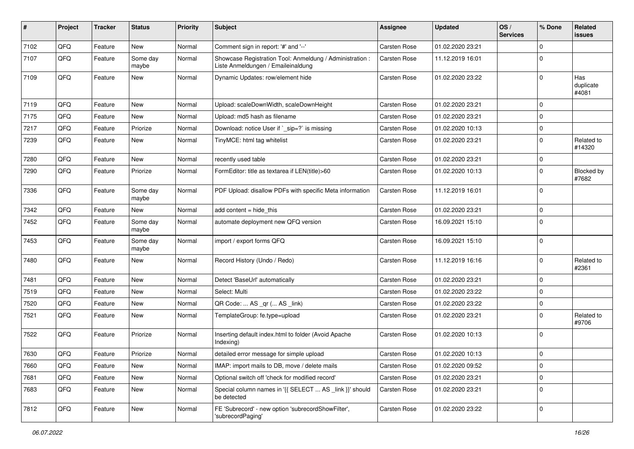| #    | Project | <b>Tracker</b> | <b>Status</b>     | <b>Priority</b> | <b>Subject</b>                                                                                 | Assignee     | <b>Updated</b>   | OS/<br><b>Services</b> | % Done      | Related<br><b>issues</b>  |
|------|---------|----------------|-------------------|-----------------|------------------------------------------------------------------------------------------------|--------------|------------------|------------------------|-------------|---------------------------|
| 7102 | QFQ     | Feature        | New               | Normal          | Comment sign in report: '#' and '--'                                                           | Carsten Rose | 01.02.2020 23:21 |                        | $\mathbf 0$ |                           |
| 7107 | QFQ     | Feature        | Some day<br>maybe | Normal          | Showcase Registration Tool: Anmeldung / Administration :<br>Liste Anmeldungen / Emaileinaldung | Carsten Rose | 11.12.2019 16:01 |                        | $\mathbf 0$ |                           |
| 7109 | QFQ     | Feature        | New               | Normal          | Dynamic Updates: row/element hide                                                              | Carsten Rose | 01.02.2020 23:22 |                        | $\mathbf 0$ | Has<br>duplicate<br>#4081 |
| 7119 | QFQ     | Feature        | <b>New</b>        | Normal          | Upload: scaleDownWidth, scaleDownHeight                                                        | Carsten Rose | 01.02.2020 23:21 |                        | $\mathbf 0$ |                           |
| 7175 | QFQ     | Feature        | New               | Normal          | Upload: md5 hash as filename                                                                   | Carsten Rose | 01.02.2020 23:21 |                        | 0           |                           |
| 7217 | QFQ     | Feature        | Priorize          | Normal          | Download: notice User if `_sip=?` is missing                                                   | Carsten Rose | 01.02.2020 10:13 |                        | $\pmb{0}$   |                           |
| 7239 | QFQ     | Feature        | New               | Normal          | TinyMCE: html tag whitelist                                                                    | Carsten Rose | 01.02.2020 23:21 |                        | $\mathbf 0$ | Related to<br>#14320      |
| 7280 | QFQ     | Feature        | New               | Normal          | recently used table                                                                            | Carsten Rose | 01.02.2020 23:21 |                        | $\mathbf 0$ |                           |
| 7290 | QFQ     | Feature        | Priorize          | Normal          | FormEditor: title as textarea if LEN(title)>60                                                 | Carsten Rose | 01.02.2020 10:13 |                        | $\mathbf 0$ | Blocked by<br>#7682       |
| 7336 | QFQ     | Feature        | Some day<br>maybe | Normal          | PDF Upload: disallow PDFs with specific Meta information                                       | Carsten Rose | 11.12.2019 16:01 |                        | $\mathbf 0$ |                           |
| 7342 | QFQ     | Feature        | New               | Normal          | add content = hide_this                                                                        | Carsten Rose | 01.02.2020 23:21 |                        | $\mathbf 0$ |                           |
| 7452 | QFQ     | Feature        | Some day<br>maybe | Normal          | automate deployment new QFQ version                                                            | Carsten Rose | 16.09.2021 15:10 |                        | $\mathbf 0$ |                           |
| 7453 | QFQ     | Feature        | Some day<br>maybe | Normal          | import / export forms QFQ                                                                      | Carsten Rose | 16.09.2021 15:10 |                        | $\mathbf 0$ |                           |
| 7480 | QFQ     | Feature        | New               | Normal          | Record History (Undo / Redo)                                                                   | Carsten Rose | 11.12.2019 16:16 |                        | $\mathbf 0$ | Related to<br>#2361       |
| 7481 | QFQ     | Feature        | New               | Normal          | Detect 'BaseUrl' automatically                                                                 | Carsten Rose | 01.02.2020 23:21 |                        | $\mathbf 0$ |                           |
| 7519 | QFQ     | Feature        | New               | Normal          | Select: Multi                                                                                  | Carsten Rose | 01.02.2020 23:22 |                        | $\mathbf 0$ |                           |
| 7520 | QFQ     | Feature        | New               | Normal          | QR Code:  AS _qr ( AS _link)                                                                   | Carsten Rose | 01.02.2020 23:22 |                        | $\mathbf 0$ |                           |
| 7521 | QFQ     | Feature        | New               | Normal          | TemplateGroup: fe.type=upload                                                                  | Carsten Rose | 01.02.2020 23:21 |                        | $\mathbf 0$ | Related to<br>#9706       |
| 7522 | QFQ     | Feature        | Priorize          | Normal          | Inserting default index.html to folder (Avoid Apache<br>Indexing)                              | Carsten Rose | 01.02.2020 10:13 |                        | $\mathbf 0$ |                           |
| 7630 | QFQ     | Feature        | Priorize          | Normal          | detailed error message for simple upload                                                       | Carsten Rose | 01.02.2020 10:13 |                        | $\mathsf 0$ |                           |
| 7660 | QFQ     | Feature        | New               | Normal          | IMAP: import mails to DB, move / delete mails                                                  | Carsten Rose | 01.02.2020 09:52 |                        | $\mathbf 0$ |                           |
| 7681 | QFQ     | Feature        | New               | Normal          | Optional switch off 'check for modified record'                                                | Carsten Rose | 01.02.2020 23:21 |                        | $\mathbf 0$ |                           |
| 7683 | QFQ     | Feature        | New               | Normal          | Special column names in '{{ SELECT  AS _link }}' should<br>be detected                         | Carsten Rose | 01.02.2020 23:21 |                        | $\mathbf 0$ |                           |
| 7812 | QFQ     | Feature        | New               | Normal          | FE 'Subrecord' - new option 'subrecordShowFilter',<br>'subrecordPaging'                        | Carsten Rose | 01.02.2020 23:22 |                        | $\mathbf 0$ |                           |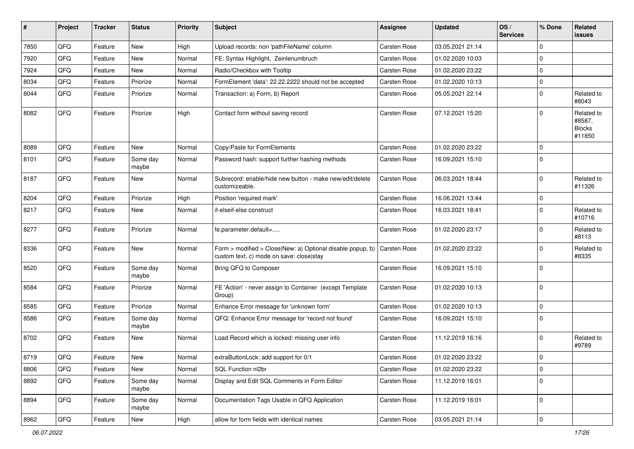| $\sharp$ | Project | <b>Tracker</b> | <b>Status</b>     | <b>Priority</b> | <b>Subject</b>                                                                                         | <b>Assignee</b>     | <b>Updated</b>   | OS/<br><b>Services</b> | % Done      | Related<br>issues                               |
|----------|---------|----------------|-------------------|-----------------|--------------------------------------------------------------------------------------------------------|---------------------|------------------|------------------------|-------------|-------------------------------------------------|
| 7850     | QFQ     | Feature        | New               | High            | Upload records: non 'pathFileName' column                                                              | <b>Carsten Rose</b> | 03.05.2021 21:14 |                        | $\mathbf 0$ |                                                 |
| 7920     | QFQ     | Feature        | New               | Normal          | FE: Syntax Highlight, Zeinlenumbruch                                                                   | Carsten Rose        | 01.02.2020 10:03 |                        | $\mathbf 0$ |                                                 |
| 7924     | QFQ     | Feature        | New               | Normal          | Radio/Checkbox with Tooltip                                                                            | Carsten Rose        | 01.02.2020 23:22 |                        | $\mathbf 0$ |                                                 |
| 8034     | QFQ     | Feature        | Priorize          | Normal          | FormElement 'data': 22.22.2222 should not be accepted                                                  | Carsten Rose        | 01.02.2020 10:13 |                        | $\mathbf 0$ |                                                 |
| 8044     | QFQ     | Feature        | Priorize          | Normal          | Transaction: a) Form, b) Report                                                                        | Carsten Rose        | 05.05.2021 22:14 |                        | $\mathbf 0$ | Related to<br>#8043                             |
| 8082     | QFQ     | Feature        | Priorize          | High            | Contact form without saving record                                                                     | Carsten Rose        | 07.12.2021 15:20 |                        | $\Omega$    | Related to<br>#8587,<br><b>Blocks</b><br>#11850 |
| 8089     | QFQ     | Feature        | New               | Normal          | Copy/Paste for FormElements                                                                            | Carsten Rose        | 01.02.2020 23:22 |                        | $\mathbf 0$ |                                                 |
| 8101     | QFQ     | Feature        | Some day<br>maybe | Normal          | Password hash: support further hashing methods                                                         | Carsten Rose        | 16.09.2021 15:10 |                        | $\Omega$    |                                                 |
| 8187     | QFQ     | Feature        | New               | Normal          | Subrecord: enable/hide new button - make new/edit/delete<br>customizeable.                             | Carsten Rose        | 06.03.2021 18:44 |                        | $\mathbf 0$ | Related to<br>#11326                            |
| 8204     | QFQ     | Feature        | Priorize          | High            | Position 'required mark'                                                                               | Carsten Rose        | 16.06.2021 13:44 |                        | $\mathbf 0$ |                                                 |
| 8217     | QFQ     | Feature        | New               | Normal          | if-elseif-else construct                                                                               | <b>Carsten Rose</b> | 16.03.2021 18:41 |                        | $\Omega$    | Related to<br>#10716                            |
| 8277     | QFQ     | Feature        | Priorize          | Normal          | fe.parameter.default=                                                                                  | Carsten Rose        | 01.02.2020 23:17 |                        | $\Omega$    | Related to<br>#8113                             |
| 8336     | QFQ     | Feature        | New               | Normal          | Form > modified > Close New: a) Optional disable popup, b)<br>custom text, c) mode on save: close stay | Carsten Rose        | 01.02.2020 23:22 |                        | $\mathbf 0$ | Related to<br>#8335                             |
| 8520     | QFQ     | Feature        | Some day<br>maybe | Normal          | Bring QFQ to Composer                                                                                  | Carsten Rose        | 16.09.2021 15:10 |                        | $\Omega$    |                                                 |
| 8584     | QFQ     | Feature        | Priorize          | Normal          | FE 'Action' - never assign to Container (except Template<br>Group)                                     | Carsten Rose        | 01.02.2020 10:13 |                        | $\mathbf 0$ |                                                 |
| 8585     | QFQ     | Feature        | Priorize          | Normal          | Enhance Error message for 'unknown form'                                                               | Carsten Rose        | 01.02.2020 10:13 |                        | $\mathbf 0$ |                                                 |
| 8586     | QFQ     | Feature        | Some day<br>maybe | Normal          | QFQ: Enhance Error message for 'record not found'                                                      | Carsten Rose        | 16.09.2021 15:10 |                        | $\mathbf 0$ |                                                 |
| 8702     | QFQ     | Feature        | New               | Normal          | Load Record which is locked: missing user info                                                         | Carsten Rose        | 11.12.2019 16:16 |                        | $\mathbf 0$ | Related to<br>#9789                             |
| 8719     | QFG     | Feature        | New               | Normal          | extraButtonLock: add support for 0/1                                                                   | Carsten Rose        | 01.02.2020 23:22 |                        | $\mathbf 0$ |                                                 |
| 8806     | QFQ     | Feature        | New               | Normal          | SQL Function nl2br                                                                                     | Carsten Rose        | 01.02.2020 23:22 |                        | $\mathbf 0$ |                                                 |
| 8892     | QFQ     | Feature        | Some day<br>maybe | Normal          | Display and Edit SQL Comments in Form Editor                                                           | Carsten Rose        | 11.12.2019 16:01 |                        | $\mathbf 0$ |                                                 |
| 8894     | QFQ     | Feature        | Some day<br>maybe | Normal          | Documentation Tags Usable in QFQ Application                                                           | Carsten Rose        | 11.12.2019 16:01 |                        | $\mathbf 0$ |                                                 |
| 8962     | QFQ     | Feature        | New               | High            | allow for form fields with identical names                                                             | Carsten Rose        | 03.05.2021 21:14 |                        | $\pmb{0}$   |                                                 |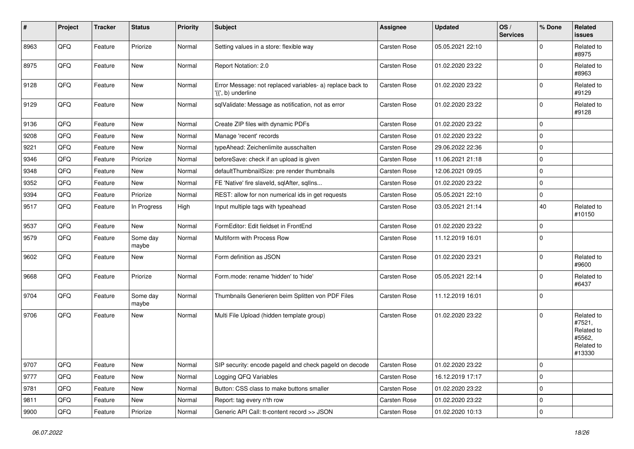| $\vert$ # | Project | <b>Tracker</b> | <b>Status</b>     | <b>Priority</b> | <b>Subject</b>                                                                  | <b>Assignee</b> | <b>Updated</b>   | OS/<br><b>Services</b> | % Done      | Related<br><b>issues</b>                                             |
|-----------|---------|----------------|-------------------|-----------------|---------------------------------------------------------------------------------|-----------------|------------------|------------------------|-------------|----------------------------------------------------------------------|
| 8963      | QFQ     | Feature        | Priorize          | Normal          | Setting values in a store: flexible way                                         | Carsten Rose    | 05.05.2021 22:10 |                        | $\Omega$    | Related to<br>#8975                                                  |
| 8975      | QFQ     | Feature        | New               | Normal          | Report Notation: 2.0                                                            | Carsten Rose    | 01.02.2020 23:22 |                        | $\mathbf 0$ | Related to<br>#8963                                                  |
| 9128      | QFQ     | Feature        | New               | Normal          | Error Message: not replaced variables- a) replace back to<br>'{{', b) underline | Carsten Rose    | 01.02.2020 23:22 |                        | $\mathbf 0$ | Related to<br>#9129                                                  |
| 9129      | QFQ     | Feature        | New               | Normal          | sqlValidate: Message as notification, not as error                              | Carsten Rose    | 01.02.2020 23:22 |                        | $\mathbf 0$ | Related to<br>#9128                                                  |
| 9136      | QFQ     | Feature        | New               | Normal          | Create ZIP files with dynamic PDFs                                              | Carsten Rose    | 01.02.2020 23:22 |                        | $\mathbf 0$ |                                                                      |
| 9208      | QFQ     | Feature        | New               | Normal          | Manage 'recent' records                                                         | Carsten Rose    | 01.02.2020 23:22 |                        | $\mathbf 0$ |                                                                      |
| 9221      | QFQ     | Feature        | New               | Normal          | typeAhead: Zeichenlimite ausschalten                                            | Carsten Rose    | 29.06.2022 22:36 |                        | $\mathbf 0$ |                                                                      |
| 9346      | QFQ     | Feature        | Priorize          | Normal          | beforeSave: check if an upload is given                                         | Carsten Rose    | 11.06.2021 21:18 |                        | $\mathbf 0$ |                                                                      |
| 9348      | QFQ     | Feature        | New               | Normal          | defaultThumbnailSize: pre render thumbnails                                     | Carsten Rose    | 12.06.2021 09:05 |                        | $\mathbf 0$ |                                                                      |
| 9352      | QFQ     | Feature        | New               | Normal          | FE 'Native' fire slaveld, sqlAfter, sqlIns                                      | Carsten Rose    | 01.02.2020 23:22 |                        | $\mathbf 0$ |                                                                      |
| 9394      | QFQ     | Feature        | Priorize          | Normal          | REST: allow for non numerical ids in get requests                               | Carsten Rose    | 05.05.2021 22:10 |                        | $\mathbf 0$ |                                                                      |
| 9517      | QFQ     | Feature        | In Progress       | High            | Input multiple tags with typeahead                                              | Carsten Rose    | 03.05.2021 21:14 |                        | 40          | Related to<br>#10150                                                 |
| 9537      | QFQ     | Feature        | New               | Normal          | FormEditor: Edit fieldset in FrontEnd                                           | Carsten Rose    | 01.02.2020 23:22 |                        | $\mathbf 0$ |                                                                      |
| 9579      | QFQ     | Feature        | Some day<br>maybe | Normal          | Multiform with Process Row                                                      | Carsten Rose    | 11.12.2019 16:01 |                        | $\mathbf 0$ |                                                                      |
| 9602      | QFQ     | Feature        | New               | Normal          | Form definition as JSON                                                         | Carsten Rose    | 01.02.2020 23:21 |                        | $\mathbf 0$ | Related to<br>#9600                                                  |
| 9668      | QFQ     | Feature        | Priorize          | Normal          | Form.mode: rename 'hidden' to 'hide'                                            | Carsten Rose    | 05.05.2021 22:14 |                        | $\mathbf 0$ | Related to<br>#6437                                                  |
| 9704      | QFQ     | Feature        | Some day<br>maybe | Normal          | Thumbnails Generieren beim Splitten von PDF Files                               | Carsten Rose    | 11.12.2019 16:01 |                        | $\mathbf 0$ |                                                                      |
| 9706      | QFQ     | Feature        | New               | Normal          | Multi File Upload (hidden template group)                                       | Carsten Rose    | 01.02.2020 23:22 |                        | $\mathbf 0$ | Related to<br>#7521,<br>Related to<br>#5562,<br>Related to<br>#13330 |
| 9707      | QFQ     | Feature        | New               | Normal          | SIP security: encode pageld and check pageld on decode                          | Carsten Rose    | 01.02.2020 23:22 |                        | $\pmb{0}$   |                                                                      |
| 9777      | QFQ     | Feature        | New               | Normal          | Logging QFQ Variables                                                           | Carsten Rose    | 16.12.2019 17:17 |                        | $\mathbf 0$ |                                                                      |
| 9781      | QFQ     | Feature        | New               | Normal          | Button: CSS class to make buttons smaller                                       | Carsten Rose    | 01.02.2020 23:22 |                        | $\pmb{0}$   |                                                                      |
| 9811      | QFQ     | Feature        | New               | Normal          | Report: tag every n'th row                                                      | Carsten Rose    | 01.02.2020 23:22 |                        | $\pmb{0}$   |                                                                      |
| 9900      | QFG     | Feature        | Priorize          | Normal          | Generic API Call: tt-content record >> JSON                                     | Carsten Rose    | 01.02.2020 10:13 |                        | $\mathbf 0$ |                                                                      |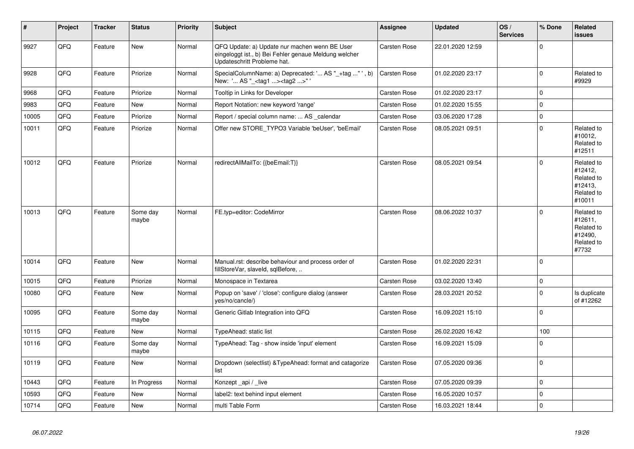| #     | Project | <b>Tracker</b> | <b>Status</b>     | <b>Priority</b> | <b>Subject</b>                                                                                                                        | Assignee            | <b>Updated</b>   | OS/<br><b>Services</b> | % Done       | Related<br><b>issues</b>                                               |
|-------|---------|----------------|-------------------|-----------------|---------------------------------------------------------------------------------------------------------------------------------------|---------------------|------------------|------------------------|--------------|------------------------------------------------------------------------|
| 9927  | QFQ     | Feature        | New               | Normal          | QFQ Update: a) Update nur machen wenn BE User<br>eingeloggt ist., b) Bei Fehler genaue Meldung welcher<br>Updateschritt Probleme hat. | Carsten Rose        | 22.01.2020 12:59 |                        | $\mathbf 0$  |                                                                        |
| 9928  | QFQ     | Feature        | Priorize          | Normal          | SpecialColumnName: a) Deprecated: ' AS "_+tag " ', b)<br>New: ' AS " <tag1><tag2>" '</tag2></tag1>                                    | Carsten Rose        | 01.02.2020 23:17 |                        | $\mathbf 0$  | Related to<br>#9929                                                    |
| 9968  | QFQ     | Feature        | Priorize          | Normal          | Tooltip in Links for Developer                                                                                                        | Carsten Rose        | 01.02.2020 23:17 |                        | $\mathbf 0$  |                                                                        |
| 9983  | QFQ     | Feature        | New               | Normal          | Report Notation: new keyword 'range'                                                                                                  | Carsten Rose        | 01.02.2020 15:55 |                        | $\mathbf 0$  |                                                                        |
| 10005 | QFQ     | Feature        | Priorize          | Normal          | Report / special column name:  AS calendar                                                                                            | Carsten Rose        | 03.06.2020 17:28 |                        | $\pmb{0}$    |                                                                        |
| 10011 | QFQ     | Feature        | Priorize          | Normal          | Offer new STORE_TYPO3 Variable 'beUser', 'beEmail'                                                                                    | Carsten Rose        | 08.05.2021 09:51 |                        | $\mathbf{0}$ | Related to<br>#10012,<br>Related to<br>#12511                          |
| 10012 | QFQ     | Feature        | Priorize          | Normal          | redirectAllMailTo: {{beEmail:T}}                                                                                                      | Carsten Rose        | 08.05.2021 09:54 |                        | $\Omega$     | Related to<br>#12412,<br>Related to<br>#12413,<br>Related to<br>#10011 |
| 10013 | QFQ     | Feature        | Some day<br>maybe | Normal          | FE.typ=editor: CodeMirror                                                                                                             | Carsten Rose        | 08.06.2022 10:37 |                        | $\Omega$     | Related to<br>#12611,<br>Related to<br>#12490,<br>Related to<br>#7732  |
| 10014 | QFQ     | Feature        | New               | Normal          | Manual.rst: describe behaviour and process order of<br>fillStoreVar, slaveId, sqlBefore,                                              | Carsten Rose        | 01.02.2020 22:31 |                        | $\Omega$     |                                                                        |
| 10015 | QFQ     | Feature        | Priorize          | Normal          | Monospace in Textarea                                                                                                                 | <b>Carsten Rose</b> | 03.02.2020 13:40 |                        | $\pmb{0}$    |                                                                        |
| 10080 | QFQ     | Feature        | New               | Normal          | Popup on 'save' / 'close': configure dialog (answer<br>yes/no/cancle/)                                                                | Carsten Rose        | 28.03.2021 20:52 |                        | $\mathbf 0$  | Is duplicate<br>of #12262                                              |
| 10095 | QFQ     | Feature        | Some day<br>maybe | Normal          | Generic Gitlab Integration into QFQ                                                                                                   | Carsten Rose        | 16.09.2021 15:10 |                        | $\mathbf 0$  |                                                                        |
| 10115 | QFQ     | Feature        | <b>New</b>        | Normal          | TypeAhead: static list                                                                                                                | Carsten Rose        | 26.02.2020 16:42 |                        | 100          |                                                                        |
| 10116 | QFQ     | Feature        | Some day<br>maybe | Normal          | TypeAhead: Tag - show inside 'input' element                                                                                          | Carsten Rose        | 16.09.2021 15:09 |                        | $\pmb{0}$    |                                                                        |
| 10119 | QFQ     | Feature        | New               | Normal          | Dropdown (selectlist) & TypeAhead: format and catagorize<br>list                                                                      | <b>Carsten Rose</b> | 07.05.2020 09:36 |                        | $\pmb{0}$    |                                                                        |
| 10443 | QFQ     | Feature        | In Progress       | Normal          | Konzept_api / _live                                                                                                                   | Carsten Rose        | 07.05.2020 09:39 |                        | $\pmb{0}$    |                                                                        |
| 10593 | QFQ     | Feature        | <b>New</b>        | Normal          | label2: text behind input element                                                                                                     | Carsten Rose        | 16.05.2020 10:57 |                        | $\mathbf 0$  |                                                                        |
| 10714 | QFQ     | Feature        | New               | Normal          | multi Table Form                                                                                                                      | Carsten Rose        | 16.03.2021 18:44 |                        | $\mathbf 0$  |                                                                        |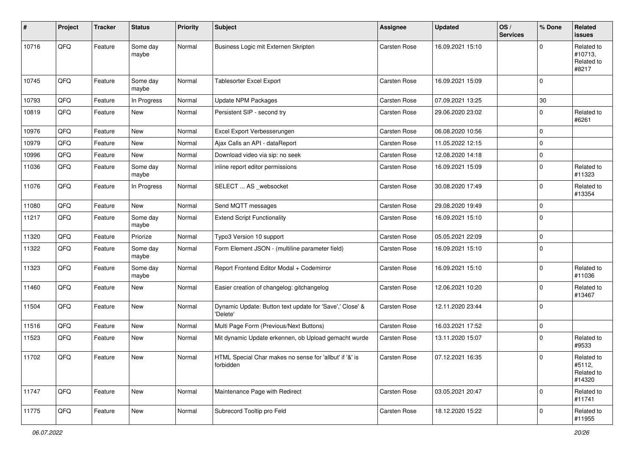| #     | Project        | <b>Tracker</b> | <b>Status</b>     | <b>Priority</b> | <b>Subject</b>                                                       | <b>Assignee</b>     | <b>Updated</b>   | OS/<br><b>Services</b> | % Done      | Related<br>issues                            |
|-------|----------------|----------------|-------------------|-----------------|----------------------------------------------------------------------|---------------------|------------------|------------------------|-------------|----------------------------------------------|
| 10716 | QFQ            | Feature        | Some day<br>maybe | Normal          | Business Logic mit Externen Skripten                                 | <b>Carsten Rose</b> | 16.09.2021 15:10 |                        | $\Omega$    | Related to<br>#10713,<br>Related to<br>#8217 |
| 10745 | QFQ            | Feature        | Some day<br>maybe | Normal          | <b>Tablesorter Excel Export</b>                                      | <b>Carsten Rose</b> | 16.09.2021 15:09 |                        | $\mathbf 0$ |                                              |
| 10793 | QFQ            | Feature        | In Progress       | Normal          | <b>Update NPM Packages</b>                                           | <b>Carsten Rose</b> | 07.09.2021 13:25 |                        | 30          |                                              |
| 10819 | QFQ            | Feature        | New               | Normal          | Persistent SIP - second try                                          | Carsten Rose        | 29.06.2020 23:02 |                        | $\mathbf 0$ | Related to<br>#6261                          |
| 10976 | QFQ            | Feature        | New               | Normal          | Excel Export Verbesserungen                                          | Carsten Rose        | 06.08.2020 10:56 |                        | $\mathbf 0$ |                                              |
| 10979 | QFQ            | Feature        | New               | Normal          | Ajax Calls an API - dataReport                                       | Carsten Rose        | 11.05.2022 12:15 |                        | $\mathbf 0$ |                                              |
| 10996 | QFQ            | Feature        | New               | Normal          | Download video via sip: no seek                                      | Carsten Rose        | 12.08.2020 14:18 |                        | $\mathbf 0$ |                                              |
| 11036 | QFQ            | Feature        | Some day<br>maybe | Normal          | inline report editor permissions                                     | Carsten Rose        | 16.09.2021 15:09 |                        | $\mathbf 0$ | Related to<br>#11323                         |
| 11076 | QFQ            | Feature        | In Progress       | Normal          | SELECT  AS _websocket                                                | Carsten Rose        | 30.08.2020 17:49 |                        | $\mathbf 0$ | Related to<br>#13354                         |
| 11080 | QFQ            | Feature        | New               | Normal          | Send MQTT messages                                                   | Carsten Rose        | 29.08.2020 19:49 |                        | $\mathbf 0$ |                                              |
| 11217 | QFQ            | Feature        | Some day<br>maybe | Normal          | <b>Extend Script Functionality</b>                                   | Carsten Rose        | 16.09.2021 15:10 |                        | $\mathbf 0$ |                                              |
| 11320 | QFQ            | Feature        | Priorize          | Normal          | Typo3 Version 10 support                                             | <b>Carsten Rose</b> | 05.05.2021 22:09 |                        | $\mathbf 0$ |                                              |
| 11322 | QFQ            | Feature        | Some day<br>maybe | Normal          | Form Element JSON - (multiline parameter field)                      | Carsten Rose        | 16.09.2021 15:10 |                        | $\mathbf 0$ |                                              |
| 11323 | QFQ            | Feature        | Some day<br>maybe | Normal          | Report Frontend Editor Modal + Codemirror                            | Carsten Rose        | 16.09.2021 15:10 |                        | $\mathbf 0$ | Related to<br>#11036                         |
| 11460 | QFQ            | Feature        | New               | Normal          | Easier creation of changelog: gitchangelog                           | Carsten Rose        | 12.06.2021 10:20 |                        | $\mathbf 0$ | Related to<br>#13467                         |
| 11504 | QFQ            | Feature        | New               | Normal          | Dynamic Update: Button text update for 'Save',' Close' &<br>'Delete' | Carsten Rose        | 12.11.2020 23:44 |                        | $\mathbf 0$ |                                              |
| 11516 | QFQ            | Feature        | New               | Normal          | Multi Page Form (Previous/Next Buttons)                              | Carsten Rose        | 16.03.2021 17:52 |                        | $\pmb{0}$   |                                              |
| 11523 | QFQ            | Feature        | New               | Normal          | Mit dynamic Update erkennen, ob Upload gemacht wurde                 | Carsten Rose        | 13.11.2020 15:07 |                        | $\mathbf 0$ | Related to<br>#9533                          |
| 11702 | $\mathsf{QFQ}$ | Feature        | New               | Normal          | HTML Special Char makes no sense for 'allbut' if '&' is<br>forbidden | Carsten Rose        | 07.12.2021 16:35 |                        | $\mathsf 0$ | Related to<br>#5112,<br>Related to<br>#14320 |
| 11747 | QFQ            | Feature        | New               | Normal          | Maintenance Page with Redirect                                       | Carsten Rose        | 03.05.2021 20:47 |                        | $\mathbf 0$ | Related to<br>#11741                         |
| 11775 | QFQ            | Feature        | New               | Normal          | Subrecord Tooltip pro Feld                                           | Carsten Rose        | 18.12.2020 15:22 |                        | $\pmb{0}$   | Related to<br>#11955                         |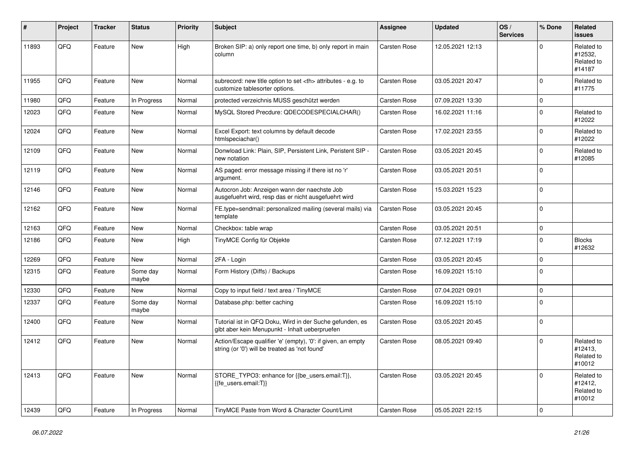| #     | Project | <b>Tracker</b> | <b>Status</b>     | <b>Priority</b> | <b>Subject</b>                                                                                                 | Assignee                                               | <b>Updated</b>   | OS/<br><b>Services</b> | % Done       | Related<br><b>issues</b>                      |                      |
|-------|---------|----------------|-------------------|-----------------|----------------------------------------------------------------------------------------------------------------|--------------------------------------------------------|------------------|------------------------|--------------|-----------------------------------------------|----------------------|
| 11893 | QFQ     | Feature        | New               | High            | Broken SIP: a) only report one time, b) only report in main<br>column                                          | Carsten Rose                                           | 12.05.2021 12:13 |                        | $\Omega$     | Related to<br>#12532,<br>Related to<br>#14187 |                      |
| 11955 | QFQ     | Feature        | <b>New</b>        | Normal          | subrecord: new title option to set <th> attributes - e.g. to<br/>customize tablesorter options.</th>           | attributes - e.g. to<br>customize tablesorter options. | Carsten Rose     | 03.05.2021 20:47       |              | $\pmb{0}$                                     | Related to<br>#11775 |
| 11980 | QFQ     | Feature        | In Progress       | Normal          | protected verzeichnis MUSS geschützt werden                                                                    | Carsten Rose                                           | 07.09.2021 13:30 |                        | $\pmb{0}$    |                                               |                      |
| 12023 | QFQ     | Feature        | New               | Normal          | MySQL Stored Precdure: QDECODESPECIALCHAR()                                                                    | Carsten Rose                                           | 16.02.2021 11:16 |                        | $\pmb{0}$    | Related to<br>#12022                          |                      |
| 12024 | QFQ     | Feature        | New               | Normal          | Excel Export: text columns by default decode<br>htmlspeciachar()                                               | Carsten Rose                                           | 17.02.2021 23:55 |                        | $\mathbf 0$  | Related to<br>#12022                          |                      |
| 12109 | QFQ     | Feature        | New               | Normal          | Donwload Link: Plain, SIP, Persistent Link, Peristent SIP -<br>new notation                                    | Carsten Rose                                           | 03.05.2021 20:45 |                        | $\Omega$     | Related to<br>#12085                          |                      |
| 12119 | QFQ     | Feature        | New               | Normal          | AS paged: error message missing if there ist no 'r'<br>argument.                                               | Carsten Rose                                           | 03.05.2021 20:51 |                        | $\mathbf{0}$ |                                               |                      |
| 12146 | QFQ     | Feature        | New               | Normal          | Autocron Job: Anzeigen wann der naechste Job<br>ausgefuehrt wird, resp das er nicht ausgefuehrt wird           | <b>Carsten Rose</b>                                    | 15.03.2021 15:23 |                        | $\mathbf 0$  |                                               |                      |
| 12162 | QFQ     | Feature        | New               | Normal          | FE.type=sendmail: personalized mailing (several mails) via<br>template                                         | Carsten Rose                                           | 03.05.2021 20:45 |                        | $\mathbf 0$  |                                               |                      |
| 12163 | QFQ     | Feature        | New               | Normal          | Checkbox: table wrap                                                                                           | Carsten Rose                                           | 03.05.2021 20:51 |                        | $\pmb{0}$    |                                               |                      |
| 12186 | QFQ     | Feature        | New               | High            | TinyMCE Config für Objekte                                                                                     | Carsten Rose                                           | 07.12.2021 17:19 |                        | $\mathbf{0}$ | <b>Blocks</b><br>#12632                       |                      |
| 12269 | QFQ     | Feature        | New               | Normal          | 2FA - Login                                                                                                    | Carsten Rose                                           | 03.05.2021 20:45 |                        | 0            |                                               |                      |
| 12315 | QFQ     | Feature        | Some day<br>maybe | Normal          | Form History (Diffs) / Backups                                                                                 | Carsten Rose                                           | 16.09.2021 15:10 |                        | 0            |                                               |                      |
| 12330 | QFQ     | Feature        | New               | Normal          | Copy to input field / text area / TinyMCE                                                                      | Carsten Rose                                           | 07.04.2021 09:01 |                        | $\mathbf 0$  |                                               |                      |
| 12337 | QFQ     | Feature        | Some day<br>maybe | Normal          | Database.php: better caching                                                                                   | Carsten Rose                                           | 16.09.2021 15:10 |                        | $\Omega$     |                                               |                      |
| 12400 | QFQ     | Feature        | New               | Normal          | Tutorial ist in QFQ Doku, Wird in der Suche gefunden, es<br>gibt aber kein Menupunkt - Inhalt ueberpruefen     | <b>Carsten Rose</b>                                    | 03.05.2021 20:45 |                        | $\mathbf 0$  |                                               |                      |
| 12412 | QFQ     | Feature        | New               | Normal          | Action/Escape qualifier 'e' (empty), '0': if given, an empty<br>string (or '0') will be treated as 'not found' | Carsten Rose                                           | 08.05.2021 09:40 |                        | $\Omega$     | Related to<br>#12413,<br>Related to<br>#10012 |                      |
| 12413 | QFQ     | Feature        | New               | Normal          | STORE_TYPO3: enhance for {{be_users.email:T}},<br>{fe_users.email:T}}                                          | Carsten Rose                                           | 03.05.2021 20:45 |                        | $\mathbf 0$  | Related to<br>#12412,<br>Related to<br>#10012 |                      |
| 12439 | QFQ     | Feature        | In Progress       | Normal          | TinyMCE Paste from Word & Character Count/Limit                                                                | <b>Carsten Rose</b>                                    | 05.05.2021 22:15 |                        | $\mathbf 0$  |                                               |                      |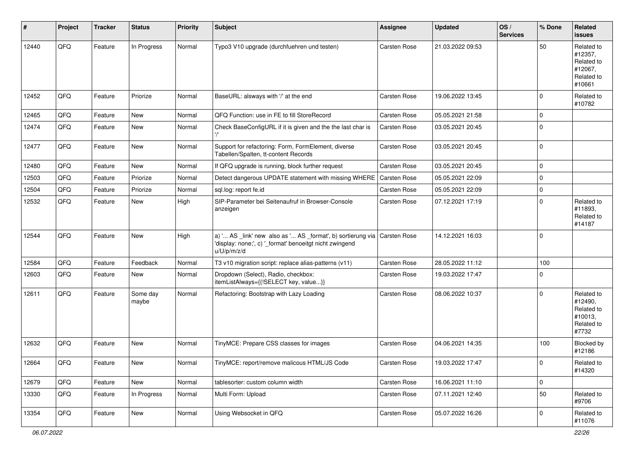| #     | Project | <b>Tracker</b> | <b>Status</b>     | <b>Priority</b> | <b>Subject</b>                                                                                                                        | <b>Assignee</b>     | <b>Updated</b>   | OS/<br><b>Services</b> | % Done      | Related<br><b>issues</b>                                               |
|-------|---------|----------------|-------------------|-----------------|---------------------------------------------------------------------------------------------------------------------------------------|---------------------|------------------|------------------------|-------------|------------------------------------------------------------------------|
| 12440 | QFQ     | Feature        | In Progress       | Normal          | Typo3 V10 upgrade (durchfuehren und testen)                                                                                           | Carsten Rose        | 21.03.2022 09:53 |                        | 50          | Related to<br>#12357,<br>Related to<br>#12067,<br>Related to<br>#10661 |
| 12452 | QFQ     | Feature        | Priorize          | Normal          | BaseURL: alsways with '/' at the end                                                                                                  | Carsten Rose        | 19.06.2022 13:45 |                        | $\mathbf 0$ | Related to<br>#10782                                                   |
| 12465 | QFQ     | Feature        | <b>New</b>        | Normal          | QFQ Function: use in FE to fill StoreRecord                                                                                           | Carsten Rose        | 05.05.2021 21:58 |                        | $\mathbf 0$ |                                                                        |
| 12474 | QFQ     | Feature        | <b>New</b>        | Normal          | Check BaseConfigURL if it is given and the the last char is                                                                           | Carsten Rose        | 03.05.2021 20:45 |                        | $\mathbf 0$ |                                                                        |
| 12477 | QFQ     | Feature        | New               | Normal          | Support for refactoring: Form, FormElement, diverse<br>Tabellen/Spalten, tt-content Records                                           | Carsten Rose        | 03.05.2021 20:45 |                        | $\mathbf 0$ |                                                                        |
| 12480 | QFQ     | Feature        | <b>New</b>        | Normal          | If QFQ upgrade is running, block further request                                                                                      | Carsten Rose        | 03.05.2021 20:45 |                        | $\mathbf 0$ |                                                                        |
| 12503 | QFQ     | Feature        | Priorize          | Normal          | Detect dangerous UPDATE statement with missing WHERE                                                                                  | <b>Carsten Rose</b> | 05.05.2021 22:09 |                        | $\mathbf 0$ |                                                                        |
| 12504 | QFQ     | Feature        | Priorize          | Normal          | sql.log: report fe.id                                                                                                                 | Carsten Rose        | 05.05.2021 22:09 |                        | $\mathbf 0$ |                                                                        |
| 12532 | QFQ     | Feature        | New               | High            | SIP-Parameter bei Seitenaufruf in Browser-Console<br>anzeigen                                                                         | Carsten Rose        | 07.12.2021 17:19 |                        | $\mathbf 0$ | Related to<br>#11893,<br>Related to<br>#14187                          |
| 12544 | QFQ     | Feature        | <b>New</b>        | High            | a) ' AS _link' new also as ' AS _format', b) sortierung via<br>'display: none;', c) '_format' benoeitgt nicht zwingend<br>u/U/p/m/z/d | Carsten Rose        | 14.12.2021 16:03 |                        | $\mathbf 0$ |                                                                        |
| 12584 | QFQ     | Feature        | Feedback          | Normal          | T3 v10 migration script: replace alias-patterns (v11)                                                                                 | Carsten Rose        | 28.05.2022 11:12 |                        | 100         |                                                                        |
| 12603 | QFQ     | Feature        | New               | Normal          | Dropdown (Select), Radio, checkbox:<br>itemListAlways={{!SELECT key, value}}                                                          | Carsten Rose        | 19.03.2022 17:47 |                        | $\mathbf 0$ |                                                                        |
| 12611 | QFQ     | Feature        | Some day<br>maybe | Normal          | Refactoring: Bootstrap with Lazy Loading                                                                                              | Carsten Rose        | 08.06.2022 10:37 |                        | $\mathbf 0$ | Related to<br>#12490,<br>Related to<br>#10013,<br>Related to<br>#7732  |
| 12632 | QFQ     | Feature        | <b>New</b>        | Normal          | TinyMCE: Prepare CSS classes for images                                                                                               | Carsten Rose        | 04.06.2021 14:35 |                        | 100         | Blocked by<br>#12186                                                   |
| 12664 | QFQ     | Feature        | New               | Normal          | TinyMCE: report/remove malicous HTML/JS Code                                                                                          | Carsten Rose        | 19.03.2022 17:47 |                        | $\mathbf 0$ | Related to<br>#14320                                                   |
| 12679 | QFQ     | Feature        | New               | Normal          | tablesorter: custom column width                                                                                                      | Carsten Rose        | 16.06.2021 11:10 |                        | $\mathsf 0$ |                                                                        |
| 13330 | QFQ     | Feature        | In Progress       | Normal          | Multi Form: Upload                                                                                                                    | Carsten Rose        | 07.11.2021 12:40 |                        | 50          | Related to<br>#9706                                                    |
| 13354 | QFQ     | Feature        | New               | Normal          | Using Websocket in QFQ                                                                                                                | Carsten Rose        | 05.07.2022 16:26 |                        | $\mathbf 0$ | Related to<br>#11076                                                   |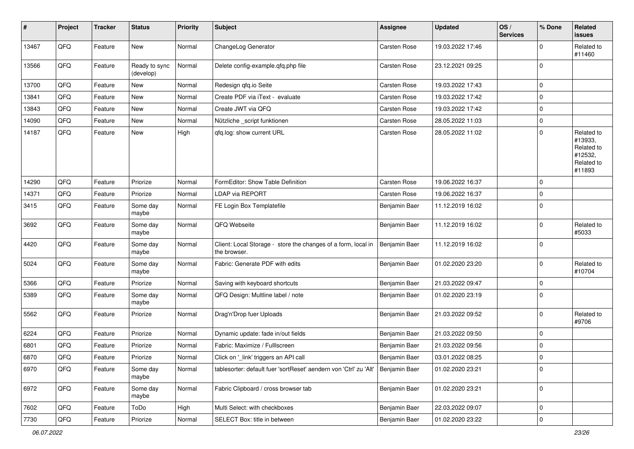| #     | Project | <b>Tracker</b> | <b>Status</b>              | <b>Priority</b> | <b>Subject</b>                                                                    | <b>Assignee</b>     | <b>Updated</b>   | OS/<br><b>Services</b> | % Done      | Related<br>issues                                                      |
|-------|---------|----------------|----------------------------|-----------------|-----------------------------------------------------------------------------------|---------------------|------------------|------------------------|-------------|------------------------------------------------------------------------|
| 13467 | QFQ     | Feature        | New                        | Normal          | ChangeLog Generator                                                               | <b>Carsten Rose</b> | 19.03.2022 17:46 |                        | $\mathbf 0$ | Related to<br>#11460                                                   |
| 13566 | QFQ     | Feature        | Ready to sync<br>(develop) | Normal          | Delete config-example.qfq.php file                                                | Carsten Rose        | 23.12.2021 09:25 |                        | $\mathbf 0$ |                                                                        |
| 13700 | QFQ     | Feature        | New                        | Normal          | Redesign qfq.io Seite                                                             | Carsten Rose        | 19.03.2022 17:43 |                        | $\mathbf 0$ |                                                                        |
| 13841 | QFQ     | Feature        | New                        | Normal          | Create PDF via iText - evaluate                                                   | Carsten Rose        | 19.03.2022 17:42 |                        | $\mathbf 0$ |                                                                        |
| 13843 | QFQ     | Feature        | New                        | Normal          | Create JWT via QFQ                                                                | Carsten Rose        | 19.03.2022 17:42 |                        | $\mathbf 0$ |                                                                        |
| 14090 | QFQ     | Feature        | New                        | Normal          | Nützliche _script funktionen                                                      | Carsten Rose        | 28.05.2022 11:03 |                        | $\mathbf 0$ |                                                                        |
| 14187 | QFQ     | Feature        | New                        | High            | qfq.log: show current URL                                                         | Carsten Rose        | 28.05.2022 11:02 |                        | $\mathbf 0$ | Related to<br>#13933,<br>Related to<br>#12532,<br>Related to<br>#11893 |
| 14290 | QFQ     | Feature        | Priorize                   | Normal          | FormEditor: Show Table Definition                                                 | <b>Carsten Rose</b> | 19.06.2022 16:37 |                        | $\mathbf 0$ |                                                                        |
| 14371 | QFQ     | Feature        | Priorize                   | Normal          | LDAP via REPORT                                                                   | Carsten Rose        | 19.06.2022 16:37 |                        | $\mathbf 0$ |                                                                        |
| 3415  | QFQ     | Feature        | Some day<br>maybe          | Normal          | FE Login Box Templatefile                                                         | Benjamin Baer       | 11.12.2019 16:02 |                        | $\mathbf 0$ |                                                                        |
| 3692  | QFQ     | Feature        | Some day<br>maybe          | Normal          | QFQ Webseite                                                                      | Benjamin Baer       | 11.12.2019 16:02 |                        | $\mathbf 0$ | Related to<br>#5033                                                    |
| 4420  | QFQ     | Feature        | Some day<br>maybe          | Normal          | Client: Local Storage - store the changes of a form, local in<br>the browser.     | Benjamin Baer       | 11.12.2019 16:02 |                        | $\mathbf 0$ |                                                                        |
| 5024  | QFQ     | Feature        | Some day<br>maybe          | Normal          | Fabric: Generate PDF with edits                                                   | Benjamin Baer       | 01.02.2020 23:20 |                        | $\mathbf 0$ | Related to<br>#10704                                                   |
| 5366  | QFQ     | Feature        | Priorize                   | Normal          | Saving with keyboard shortcuts                                                    | Benjamin Baer       | 21.03.2022 09:47 |                        | $\mathbf 0$ |                                                                        |
| 5389  | QFQ     | Feature        | Some day<br>maybe          | Normal          | QFQ Design: Multline label / note                                                 | Benjamin Baer       | 01.02.2020 23:19 |                        | $\Omega$    |                                                                        |
| 5562  | QFQ     | Feature        | Priorize                   | Normal          | Drag'n'Drop fuer Uploads                                                          | Benjamin Baer       | 21.03.2022 09:52 |                        | $\mathbf 0$ | Related to<br>#9706                                                    |
| 6224  | QFQ     | Feature        | Priorize                   | Normal          | Dynamic update: fade in/out fields                                                | Benjamin Baer       | 21.03.2022 09:50 |                        | $\mathbf 0$ |                                                                        |
| 6801  | QFQ     | Feature        | Priorize                   | Normal          | Fabric: Maximize / FullIscreen                                                    | Benjamin Baer       | 21.03.2022 09:56 |                        | $\mathbf 0$ |                                                                        |
| 6870  | QFQ     | Feature        | Priorize                   | Normal          | Click on '_link' triggers an API call                                             | Benjamin Baer       | 03.01.2022 08:25 |                        | $\mathbf 0$ |                                                                        |
| 6970  | QFQ     | Feature        | Some day<br>maybe          | Normal          | tablesorter: default fuer 'sortReset' aendern von 'Ctrl' zu 'Alt'   Benjamin Baer |                     | 01.02.2020 23:21 |                        | $\mathbf 0$ |                                                                        |
| 6972  | QFQ     | Feature        | Some day<br>maybe          | Normal          | Fabric Clipboard / cross browser tab                                              | Benjamin Baer       | 01.02.2020 23:21 |                        | $\mathbf 0$ |                                                                        |
| 7602  | QFQ     | Feature        | ToDo                       | High            | Multi Select: with checkboxes                                                     | Benjamin Baer       | 22.03.2022 09:07 |                        | $\pmb{0}$   |                                                                        |
| 7730  | QFG     | Feature        | Priorize                   | Normal          | SELECT Box: title in between                                                      | Benjamin Baer       | 01.02.2020 23:22 |                        | $\pmb{0}$   |                                                                        |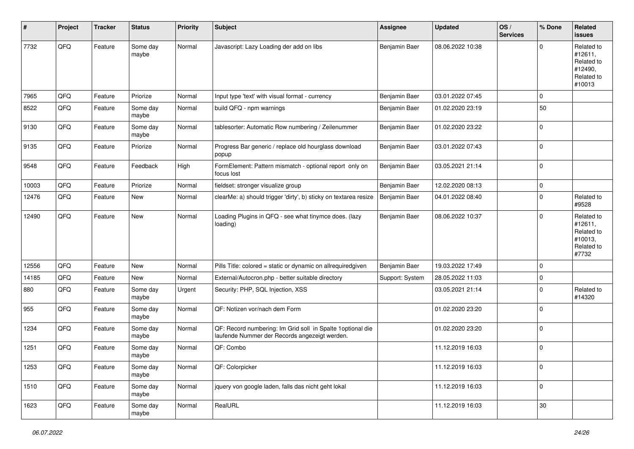| #     | Project | <b>Tracker</b> | <b>Status</b>     | <b>Priority</b> | <b>Subject</b>                                                                                               | <b>Assignee</b> | <b>Updated</b>   | OS/<br><b>Services</b> | % Done      | Related<br><b>issues</b>                                               |
|-------|---------|----------------|-------------------|-----------------|--------------------------------------------------------------------------------------------------------------|-----------------|------------------|------------------------|-------------|------------------------------------------------------------------------|
| 7732  | QFQ     | Feature        | Some day<br>maybe | Normal          | Javascript: Lazy Loading der add on libs                                                                     | Benjamin Baer   | 08.06.2022 10:38 |                        | $\Omega$    | Related to<br>#12611,<br>Related to<br>#12490,<br>Related to<br>#10013 |
| 7965  | QFQ     | Feature        | Priorize          | Normal          | Input type 'text' with visual format - currency                                                              | Benjamin Baer   | 03.01.2022 07:45 |                        | $\mathbf 0$ |                                                                        |
| 8522  | QFQ     | Feature        | Some day<br>maybe | Normal          | build QFQ - npm warnings                                                                                     | Benjamin Baer   | 01.02.2020 23:19 |                        | 50          |                                                                        |
| 9130  | QFQ     | Feature        | Some day<br>maybe | Normal          | tablesorter: Automatic Row numbering / Zeilenummer                                                           | Benjamin Baer   | 01.02.2020 23:22 |                        | $\mathbf 0$ |                                                                        |
| 9135  | QFQ     | Feature        | Priorize          | Normal          | Progress Bar generic / replace old hourglass download<br>popup                                               | Benjamin Baer   | 03.01.2022 07:43 |                        | $\mathbf 0$ |                                                                        |
| 9548  | QFQ     | Feature        | Feedback          | High            | FormElement: Pattern mismatch - optional report only on<br>focus lost                                        | Benjamin Baer   | 03.05.2021 21:14 |                        | $\mathbf 0$ |                                                                        |
| 10003 | QFQ     | Feature        | Priorize          | Normal          | fieldset: stronger visualize group                                                                           | Benjamin Baer   | 12.02.2020 08:13 |                        | $\mathbf 0$ |                                                                        |
| 12476 | QFQ     | Feature        | New               | Normal          | clearMe: a) should trigger 'dirty', b) sticky on textarea resize                                             | Benjamin Baer   | 04.01.2022 08:40 |                        | $\mathbf 0$ | Related to<br>#9528                                                    |
| 12490 | QFQ     | Feature        | New               | Normal          | Loading Plugins in QFQ - see what tinymce does. (lazy<br>loading)                                            | Benjamin Baer   | 08.06.2022 10:37 |                        | $\mathbf 0$ | Related to<br>#12611,<br>Related to<br>#10013,<br>Related to<br>#7732  |
| 12556 | QFQ     | Feature        | New               | Normal          | Pills Title: colored = static or dynamic on allrequiredgiven                                                 | Benjamin Baer   | 19.03.2022 17:49 |                        | $\mathbf 0$ |                                                                        |
| 14185 | QFQ     | Feature        | New               | Normal          | External/Autocron.php - better suitable directory                                                            | Support: System | 28.05.2022 11:03 |                        | $\mathbf 0$ |                                                                        |
| 880   | QFQ     | Feature        | Some day<br>maybe | Urgent          | Security: PHP, SQL Injection, XSS                                                                            |                 | 03.05.2021 21:14 |                        | 0           | Related to<br>#14320                                                   |
| 955   | QFQ     | Feature        | Some day<br>maybe | Normal          | QF: Notizen vor/nach dem Form                                                                                |                 | 01.02.2020 23:20 |                        | $\mathbf 0$ |                                                                        |
| 1234  | QFQ     | Feature        | Some day<br>maybe | Normal          | QF: Record numbering: Im Grid soll in Spalte 1 optional die<br>laufende Nummer der Records angezeigt werden. |                 | 01.02.2020 23:20 |                        | $\mathbf 0$ |                                                                        |
| 1251  | QFQ     | Feature        | Some day<br>maybe | Normal          | QF: Combo                                                                                                    |                 | 11.12.2019 16:03 |                        | $\mathbf 0$ |                                                                        |
| 1253  | QFQ     | Feature        | Some day<br>maybe | Normal          | QF: Colorpicker                                                                                              |                 | 11.12.2019 16:03 |                        | $\mathbf 0$ |                                                                        |
| 1510  | QFQ     | Feature        | Some day<br>maybe | Normal          | jquery von google laden, falls das nicht geht lokal                                                          |                 | 11.12.2019 16:03 |                        | $\pmb{0}$   |                                                                        |
| 1623  | QFQ     | Feature        | Some day<br>maybe | Normal          | RealURL                                                                                                      |                 | 11.12.2019 16:03 |                        | $30\,$      |                                                                        |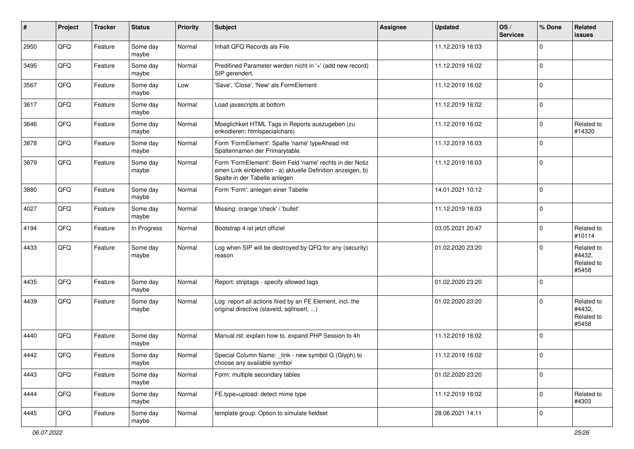| $\vert$ # | Project | <b>Tracker</b> | <b>Status</b>     | <b>Priority</b> | <b>Subject</b>                                                                                                                                           | <b>Assignee</b> | <b>Updated</b>   | OS/<br><b>Services</b> | % Done      | Related<br><b>issues</b>                    |
|-----------|---------|----------------|-------------------|-----------------|----------------------------------------------------------------------------------------------------------------------------------------------------------|-----------------|------------------|------------------------|-------------|---------------------------------------------|
| 2950      | QFQ     | Feature        | Some day<br>maybe | Normal          | Inhalt QFQ Records als File                                                                                                                              |                 | 11.12.2019 16:03 |                        | $\Omega$    |                                             |
| 3495      | QFQ     | Feature        | Some day<br>maybe | Normal          | Predifined Parameter werden nicht in '+' (add new record)<br>SIP gerendert.                                                                              |                 | 11.12.2019 16:02 |                        | $\mathbf 0$ |                                             |
| 3567      | QFQ     | Feature        | Some day<br>maybe | Low             | 'Save', 'Close', 'New' als FormElement                                                                                                                   |                 | 11.12.2019 16:02 |                        | $\mathbf 0$ |                                             |
| 3617      | QFQ     | Feature        | Some day<br>maybe | Normal          | Load javascripts at bottom                                                                                                                               |                 | 11.12.2019 16:02 |                        | $\mathbf 0$ |                                             |
| 3646      | QFQ     | Feature        | Some day<br>maybe | Normal          | Moeglichkeit HTML Tags in Reports auszugeben (zu<br>enkodieren: htmlspecialchars)                                                                        |                 | 11.12.2019 16:02 |                        | $\mathbf 0$ | Related to<br>#14320                        |
| 3878      | QFQ     | Feature        | Some day<br>maybe | Normal          | Form 'FormElement': Spalte 'name' typeAhead mit<br>Spaltennamen der Primarytable.                                                                        |                 | 11.12.2019 16:03 |                        | $\Omega$    |                                             |
| 3879      | QFQ     | Feature        | Some day<br>maybe | Normal          | Form 'FormElement': Beim Feld 'name' rechts in der Notiz<br>einen Link einblenden - a) aktuelle Definition anzeigen, b)<br>Spalte in der Tabelle anlegen |                 | 11.12.2019 16:03 |                        | $\mathbf 0$ |                                             |
| 3880      | QFQ     | Feature        | Some day<br>maybe | Normal          | Form 'Form': anlegen einer Tabelle                                                                                                                       |                 | 14.01.2021 10:12 |                        | $\mathbf 0$ |                                             |
| 4027      | QFQ     | Feature        | Some day<br>maybe | Normal          | Missing: orange 'check' / 'bullet'                                                                                                                       |                 | 11.12.2019 16:03 |                        | $\mathbf 0$ |                                             |
| 4194      | QFQ     | Feature        | In Progress       | Normal          | Bootstrap 4 ist jetzt offiziel                                                                                                                           |                 | 03.05.2021 20:47 |                        | $\mathbf 0$ | Related to<br>#10114                        |
| 4433      | QFQ     | Feature        | Some day<br>maybe | Normal          | Log when SIP will be destroyed by QFQ for any (security)<br>reason                                                                                       |                 | 01.02.2020 23:20 |                        | $\Omega$    | Related to<br>#4432,<br>Related to<br>#5458 |
| 4435      | QFQ     | Feature        | Some day<br>maybe | Normal          | Report: striptags - specify allowed tags                                                                                                                 |                 | 01.02.2020 23:20 |                        | $\mathbf 0$ |                                             |
| 4439      | QFQ     | Feature        | Some day<br>maybe | Normal          | Log: report all actions fired by an FE Element, incl. the<br>original directive (slaveld, sqllnsert, )                                                   |                 | 01.02.2020 23:20 |                        | $\mathbf 0$ | Related to<br>#4432,<br>Related to<br>#5458 |
| 4440      | QFQ     | Feature        | Some day<br>maybe | Normal          | Manual.rst: explain how to. expand PHP Session to 4h                                                                                                     |                 | 11.12.2019 16:02 |                        | $\mathbf 0$ |                                             |
| 4442      | QFQ     | Feature        | Some day<br>maybe | Normal          | Special Column Name: _link - new symbol G (Glyph) to<br>choose any available symbol                                                                      |                 | 11.12.2019 16:02 |                        | 0           |                                             |
| 4443      | QFQ     | Feature        | Some day<br>maybe | Normal          | Form: multiple secondary tables                                                                                                                          |                 | 01.02.2020 23:20 |                        | $\mathbf 0$ |                                             |
| 4444      | QFQ     | Feature        | Some day<br>maybe | Normal          | FE.type=upload: detect mime type                                                                                                                         |                 | 11.12.2019 16:02 |                        | $\mathbf 0$ | Related to<br>#4303                         |
| 4445      | QFQ     | Feature        | Some day<br>maybe | Normal          | template group: Option to simulate fieldset                                                                                                              |                 | 28.06.2021 14:11 |                        | $\mathbf 0$ |                                             |